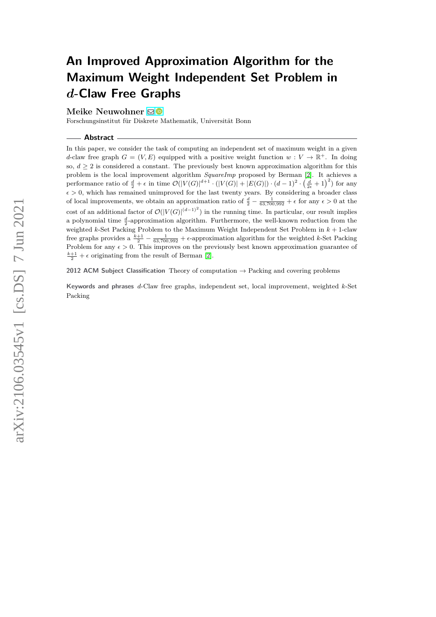# **An Improved Approximation Algorithm for the Maximum Weight Independent Set Problem in** *d***-Claw Free Graphs**

## **Meike Neuwohner** ⊠<sup>®</sup>

Forschungsinstitut für Diskrete Mathematik, Universität Bonn

#### **Abstract**

In this paper, we consider the task of computing an independent set of maximum weight in a given *d*-claw free graph  $G = (V, E)$  equipped with a positive weight function  $w: V \to \mathbb{R}^+$ . In doing so,  $d \geq 2$  is considered a constant. The previously best known approximation algorithm for this problem is the local improvement algorithm *SquareImp* proposed by Berman [\[2\]](#page-13-0). It achieves a performance ratio of  $\frac{d}{2} + \epsilon$  in time  $\mathcal{O}(|V(G)|^{d+1} \cdot (|V(G)| + |E(G)|) \cdot (d-1)^2 \cdot (\frac{d}{2\epsilon}+1)^2)$  for any  $\epsilon > 0$ , which has remained unimproved for the last twenty years. By considering a broader class of local improvements, we obtain an approximation ratio of  $\frac{d}{2} - \frac{1}{63,700,992} + \epsilon$  for any  $\epsilon > 0$  at the cost of an additional factor of  $\mathcal{O}(|V(G)|^{(d-1)^2})$  in the running time. In particular, our result implies a polynomial time  $\frac{d}{2}$ -approximation algorithm. Furthermore, the well-known reduction from the weighted *k*-Set Packing Problem to the Maximum Weight Independent Set Problem in *k* + 1-claw free graphs provides a  $\frac{k+1}{2} - \frac{1}{63,700,992} + \epsilon$ -approximation algorithm for the weighted *k*-Set Packing Problem for any  $\epsilon > 0$ . This improves on the previously best known approximation guarantee of  $\frac{k+1}{2} + \epsilon$  originating from the result of Berman [\[2\]](#page-13-0).

**2012 ACM Subject Classification** Theory of computation → Packing and covering problems

**Keywords and phrases** *d*-Claw free graphs, independent set, local improvement, weighted *k*-Set Packing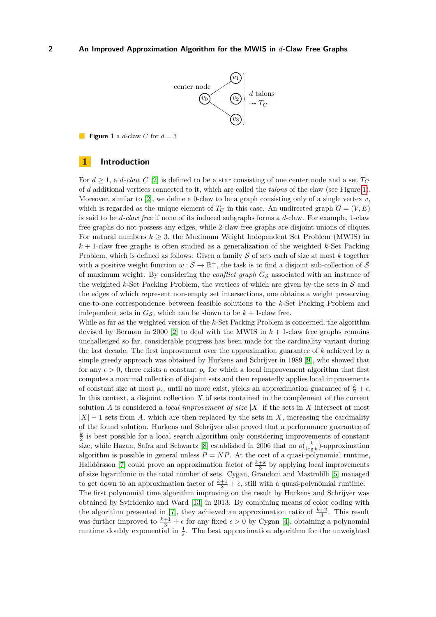

<span id="page-1-0"></span>**Figure 1** a *d*-claw *C* for  $d = 3$ 

# **1 Introduction**

For  $d \geq 1$ , a *d*-claw C [\[2\]](#page-13-0) is defined to be a star consisting of one center node and a set  $T_C$ of *d* additional vertices connected to it, which are called the *talons* of the claw (see Figure [1\)](#page-1-0). Moreover, similar to [\[2\]](#page-13-0), we define a 0-claw to be a graph consisting only of a single vertex  $v$ , which is regarded as the unique element of  $T_C$  in this case. An undirected graph  $G = (V, E)$ is said to be *d-claw free* if none of its induced subgraphs forms a *d*-claw. For example, 1-claw free graphs do not possess any edges, while 2-claw free graphs are disjoint unions of cliques. For natural numbers  $k > 3$ , the Maximum Weight Independent Set Problem (MWIS) in  $k+1$ -claw free graphs is often studied as a generalization of the weighted  $k$ -Set Packing Problem, which is defined as follows: Given a family S of sets each of size at most *k* together with a positive weight function  $w : \mathcal{S} \to \mathbb{R}^+$ , the task is to find a disjoint sub-collection of  $\mathcal{S}$ of maximum weight. By considering the *conflict graph*  $G<sub>S</sub>$  associated with an instance of the weighted  $k$ -Set Packing Problem, the vertices of which are given by the sets in  $S$  and the edges of which represent non-empty set intersections, one obtains a weight preserving one-to-one correspondence between feasible solutions to the *k*-Set Packing Problem and independent sets in  $G_{\mathcal{S}}$ , which can be shown to be  $k + 1$ -claw free.

While as far as the weighted version of the *k*-Set Packing Problem is concerned, the algorithm devised by Berman in 2000 [\[2\]](#page-13-0) to deal with the MWIS in  $k + 1$ -claw free graphs remains unchallenged so far, considerable progress has been made for the cardinality variant during the last decade. The first improvement over the approximation guarantee of *k* achieved by a simple greedy approach was obtained by Hurkens and Schrijver in 1989 [\[9\]](#page-13-1), who showed that for any  $\epsilon > 0$ , there exists a constant  $p_{\epsilon}$  for which a local improvement algorithm that first computes a maximal collection of disjoint sets and then repeatedly applies local improvements of constant size at most  $p_{\epsilon}$ , until no more exist, yields an approximation guarantee of  $\frac{k}{2} + \epsilon$ . In this context, a disjoint collection *X* of sets contained in the complement of the current solution *A* is considered a *local improvement of size*  $|X|$  if the sets in *X* intersect at most  $|X| - 1$  sets from *A*, which are then replaced by the sets in *X*, increasing the cardinality of the found solution. Hurkens and Schrijver also proved that a performance guarantee of  $\frac{k}{2}$  is best possible for a local search algorithm only considering improvements of constant size, while Hazan, Safra and Schwartz [\[8\]](#page-13-2) established in 2006 that no  $o(\frac{k}{\log k})$ -approximation algorithm is possible in general unless  $P = NP$ . At the cost of a quasi-polynomial runtime, Halldórsson [\[7\]](#page-13-3) could prove an approximation factor of  $\frac{k+2}{3}$  by applying local improvements of size logarithmic in the total number of sets. Cygan, Grandoni and Mastrolilli [\[5\]](#page-13-4) managed to get down to an approximation factor of  $\frac{k+1}{3} + \epsilon$ , still with a quasi-polynomial runtime. The first polynomial time algorithm improving on the result by Hurkens and Schrijver was obtained by Sviridenko and Ward [\[13\]](#page-13-5) in 2013. By combining means of color coding with the algorithm presented in [\[7\]](#page-13-3), they achieved an approximation ratio of  $\frac{k+2}{3}$ . This result was further improved to  $\frac{k+1}{3} + \epsilon$  for any fixed  $\epsilon > 0$  by Cygan [\[4\]](#page-13-6), obtaining a polynomial runtime doubly exponential in  $\frac{1}{\epsilon}$ . The best approximation algorithm for the unweighted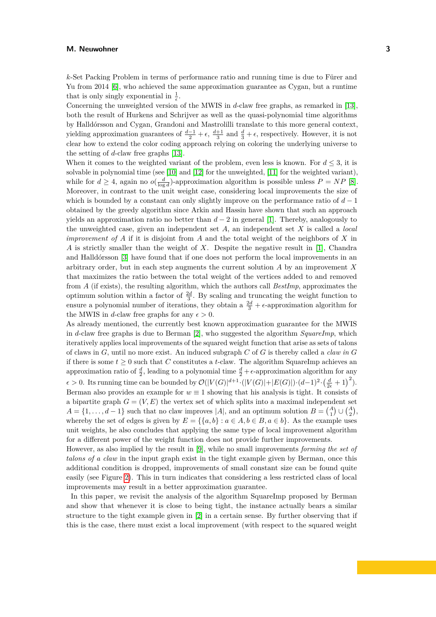*k*-Set Packing Problem in terms of performance ratio and running time is due to Fürer and Yu from 2014 [\[6\]](#page-13-7), who achieved the same approximation guarantee as Cygan, but a runtime that is only singly exponential in  $\frac{1}{\epsilon}$ .

Concerning the unweighted version of the MWIS in *d*-claw free graphs, as remarked in [\[13\]](#page-13-5), both the result of Hurkens and Schrijver as well as the quasi-polynomial time algorithms by Halldórsson and Cygan, Grandoni and Mastrolilli translate to this more general context, yielding approximation guarantees of  $\frac{d-1}{2} + \epsilon$ ,  $\frac{d+1}{3}$  and  $\frac{d}{3} + \epsilon$ , respectively. However, it is not clear how to extend the color coding approach relying on coloring the underlying universe to the setting of *d*-claw free graphs [\[13\]](#page-13-5).

When it comes to the weighted variant of the problem, even less is known. For  $d \leq 3$ , it is solvable in polynomial time (see [\[10\]](#page-13-8) and [\[12\]](#page-13-9) for the unweighted, [\[11\]](#page-13-10) for the weighted variant), while for  $d \geq 4$ , again no  $o(\frac{d}{\log d})$ -approximation algorithm is possible unless  $P = NP$  [\[8\]](#page-13-2). Moreover, in contrast to the unit weight case, considering local improvements the size of which is bounded by a constant can only slightly improve on the performance ratio of  $d-1$ obtained by the greedy algorithm since Arkin and Hassin have shown that such an approach yields an approximation ratio no better than  $d-2$  in general [\[1\]](#page-13-11). Thereby, analogously to the unweighted case, given an independent set *A*, an independent set *X* is called a *local improvement of A* if it is disjoint from *A* and the total weight of the neighbors of *X* in *A* is strictly smaller than the weight of *X*. Despite the negative result in [\[1\]](#page-13-11), Chandra and Halldórsson [\[3\]](#page-13-12) have found that if one does not perform the local improvements in an arbitrary order, but in each step augments the current solution *A* by an improvement *X* that maximizes the ratio between the total weight of the vertices added to and removed from *A* (if exists), the resulting algorithm, which the authors call *BestImp*, approximates the optimum solution within a factor of  $\frac{2d}{3}$ . By scaling and truncating the weight function to ensure a polynomial number of iterations, they obtain a  $\frac{2d}{3} + \epsilon$ -approximation algorithm for the MWIS in *d*-claw free graphs for any  $\epsilon > 0$ .

As already mentioned, the currently best known approximation guarantee for the MWIS in *d*-claw free graphs is due to Berman [\[2\]](#page-13-0), who suggested the algorithm *SquareImp*, which iteratively applies local improvements of the squared weight function that arise as sets of talons of claws in *G*, until no more exist. An induced subgraph *C* of *G* is thereby called a *claw in G* if there is some  $t \geq 0$  such that *C* constitutes a *t*-claw. The algorithm SquareImp achieves an approximation ratio of  $\frac{d}{2}$ , leading to a polynomial time  $\frac{d}{2} + \epsilon$ -approximation algorithm for any  $\epsilon > 0$ . Its running time can be bounded by  $\mathcal{O}(|V(G)|^{d+1} \cdot (|V(G)| + |E(G)|) \cdot (d-1)^2 \cdot (\frac{d}{2\epsilon}+1)^2)$ . Berman also provides an example for  $w \equiv 1$  showing that his analysis is tight. It consists of a bipartite graph  $G = (V, E)$  the vertex set of which splits into a maximal independent set  $A = \{1, \ldots, d-1\}$  such that no claw improves  $|A|$ , and an optimum solution  $B = \begin{pmatrix} A \\ 1 \end{pmatrix} \cup \begin{pmatrix} A \\ 2 \end{pmatrix}$ , whereby the set of edges is given by  $E = \{ \{a, b\} : a \in A, b \in B, a \in b \}$ . As the example uses unit weights, he also concludes that applying the same type of local improvement algorithm for a different power of the weight function does not provide further improvements.

However, as also implied by the result in [\[9\]](#page-13-1), while no small improvements *forming the set of talons of a claw* in the input graph exist in the tight example given by Berman, once this additional condition is dropped, improvements of small constant size can be found quite easily (see Figure [2\)](#page-3-0). This in turn indicates that considering a less restricted class of local improvements may result in a better approximation guarantee.

In this paper, we revisit the analysis of the algorithm SquareImp proposed by Berman and show that whenever it is close to being tight, the instance actually bears a similar structure to the tight example given in [\[2\]](#page-13-0) in a certain sense. By further observing that if this is the case, there must exist a local improvement (with respect to the squared weight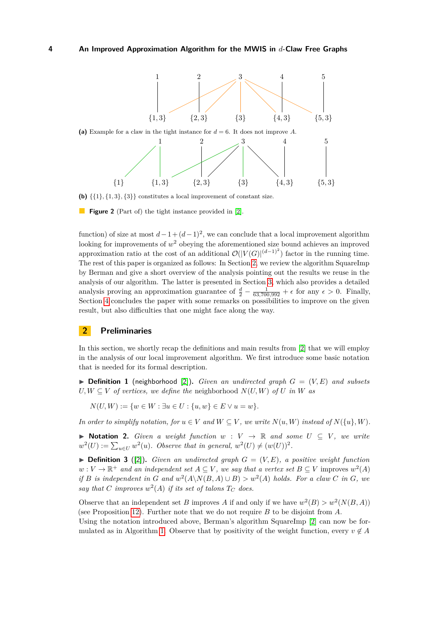<span id="page-3-0"></span>

**(b)**  $\{\{1\},\{1,3\},\{3\}\}\)$  constitutes a local improvement of constant size.

**Figure 2** (Part of) the tight instance provided in [\[2\]](#page-13-0).

function) of size at most  $d-1+(d-1)^2$ , we can conclude that a local improvement algorithm looking for improvements of *w* <sup>2</sup> obeying the aforementioned size bound achieves an improved approximation ratio at the cost of an additional  $\mathcal{O}(|V(G)|^{(d-1)^2})$  factor in the running time. The rest of this paper is organized as follows: In Section [2,](#page-3-1) we review the algorithm SquareImp by Berman and give a short overview of the analysis pointing out the results we reuse in the analysis of our algorithm. The latter is presented in Section [3,](#page-5-0) which also provides a detailed analysis proving an approximation guarantee of  $\frac{d}{2} - \frac{1}{63,700,992} + \epsilon$  for any  $\epsilon > 0$ . Finally, Section [4](#page-12-0) concludes the paper with some remarks on possibilities to improve on the given result, but also difficulties that one might face along the way.

# <span id="page-3-1"></span>**2 Preliminaries**

In this section, we shortly recap the definitions and main results from [\[2\]](#page-13-0) that we will employ in the analysis of our local improvement algorithm. We first introduce some basic notation that is needed for its formal description.

<span id="page-3-2"></span> $\triangleright$  **Definition 1** (neighborhood [\[2\]](#page-13-0)). *Given an undirected graph*  $G = (V, E)$  *and subsets U, W* ⊂ *V of vertices, we define the neighborhood*  $N(U, W)$  *<i>of U in W as* 

 $N(U, W) := \{w \in W : \exists u \in U : \{u, w\} \in E \vee u = w\}.$ 

*In order to simplify notation, for*  $u \in V$  *and*  $W \subseteq V$ *, we write*  $N(u, W)$  *instead of*  $N({u}, W)$ *.* 

▶ **Notation 2.** *Given a weight function*  $w: V \rightarrow \mathbb{R}$  *and some*  $U \subseteq V$ *, we write*  $w^2(U) := \sum_{u \in U} w^2(u)$ . Observe that in general,  $w^2(U) \neq (w(U))^2$ .

 $\triangleright$  **Definition 3** ([\[2\]](#page-13-0)). *Given an undirected graph*  $G = (V, E)$ , a positive weight function  $w: V \to \mathbb{R}^+$  and an independent set  $A \subseteq V$ , we say that a vertex set  $B \subseteq V$  improves  $w^2(A)$ *if B is independent in G* and  $w^2(A \setminus N(B, A) \cup B) > w^2(A)$  holds. For a claw *C* in *G*, we say that C improves  $w^2(A)$  if its set of talons  $T_C$  does.

Observe that an independent set *B* improves *A* if and only if we have  $w^2(B) > w^2(N(B, A))$ (see Proposition [12\)](#page-5-1). Further note that we do not require *B* to be disjoint from *A*.

Using the notation introduced above, Berman's algorithm SquareImp [\[2\]](#page-13-0) can now be for-mulated as in Algorithm [1.](#page-4-0) Observe that by positivity of the weight function, every  $v \notin A$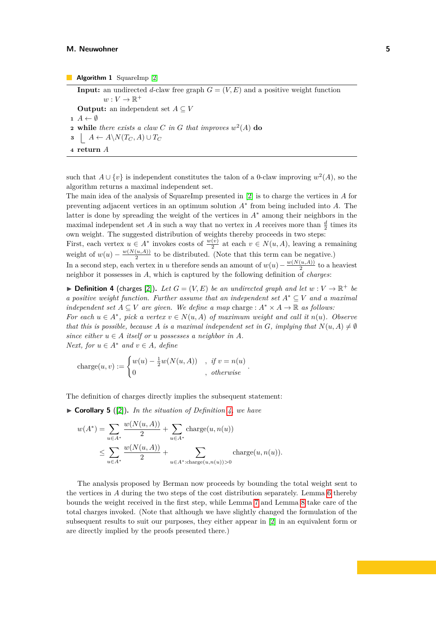**Input:** an undirected *d*-claw free graph  $G = (V, E)$  and a positive weight function  $w: V \to \mathbb{R}^+$ **Output:** an independent set  $A \subseteq V$ 1  $A \leftarrow \emptyset$ **2 while** *there exists a claw C in G that improves*  $w^2(A)$  **do**  $A \leftarrow A \setminus N(T_C, A) \cup T_C$ **<sup>4</sup> return** *A*

<span id="page-4-0"></span>such that  $A \cup \{v\}$  is independent constitutes the talon of a 0-claw improving  $w^2(A)$ , so the algorithm returns a maximal independent set.

The main idea of the analysis of SquareImp presented in [\[2\]](#page-13-0) is to charge the vertices in *A* for preventing adjacent vertices in an optimum solution *A*<sup>∗</sup> from being included into *A*. The latter is done by spreading the weight of the vertices in *A*<sup>∗</sup> among their neighbors in the maximal independent set *A* in such a way that no vertex in *A* receives more than  $\frac{d}{2}$  times its own weight. The suggested distribution of weights thereby proceeds in two steps:

First, each vertex  $u \in A^*$  invokes costs of  $\frac{w(v)}{2}$  at each  $v \in N(u, A)$ , leaving a remaining weight of  $w(u) - \frac{w(N(u,A))}{2}$  $\frac{(u,A)}{2}$  to be distributed. (Note that this term can be negative.)

In a second step, each vertex in *u* therefore sends an amount of  $w(u) - \frac{w(N(u,A))}{2}$  $\frac{(u,A))}{2}$  to a heaviest neighbor it possesses in *A*, which is captured by the following definition of *charges*:

<span id="page-4-1"></span> $\blacktriangleright$  **Definition 4** (charges [\[2\]](#page-13-0)). Let  $G = (V, E)$  be an undirected graph and let  $w : V \to \mathbb{R}^+$  be *a positive weight function. Further assume that an independent set A*<sup>∗</sup> ⊆ *V and a maximal independent set*  $A \subseteq V$  *are given. We define a map* charge :  $A^* \times A \to \mathbb{R}$  *as follows:* 

*For each*  $u \in A^*$ , pick a vertex  $v \in N(u, A)$  of maximum weight and call it  $n(u)$ *. Observe that this is possible, because A is a maximal independent set in G, implying that*  $N(u, A) \neq \emptyset$ *since either*  $u \in A$  *itself or*  $u$  *possesses*  $a$  *neighbor*  $in A$ *. Next, for*  $u \in A^*$  *and*  $v \in A$ *, define* 

charge
$$
(u, v) := \begin{cases} w(u) - \frac{1}{2}w(N(u, A)) & , \text{ if } v = n(u) \\ 0 & , \text{ otherwise} \end{cases}
$$
.

<span id="page-4-3"></span>The definition of charges directly implies the subsequent statement:

▶ **Corollary 5** ([\[2\]](#page-13-0))**.** *In the situation of Definition [4,](#page-4-1) we have*

*w*(*N*(*u, A*))

$$
w(A^*) = \sum_{u \in A^*} \frac{w(N(u, A))}{2} + \sum_{u \in A^*} \text{charge}(u, n(u))
$$
  

$$
\leq \sum_{u \in A^*} \frac{w(N(u, A))}{2} + \sum_{u \in A^* : \text{charge}(u, n(u)) > 0} \text{charge}(u, n(u)).
$$

<span id="page-4-2"></span>The analysis proposed by Berman now proceeds by bounding the total weight sent to the vertices in *A* during the two steps of the cost distribution separately. Lemma [6](#page-4-2) thereby bounds the weight received in the first step, while Lemma [7](#page-5-2) and Lemma [8](#page-5-3) take care of the total charges invoked. (Note that although we have slightly changed the formulation of the subsequent results to suit our purposes, they either appear in [\[2\]](#page-13-0) in an equivalent form or are directly implied by the proofs presented there.)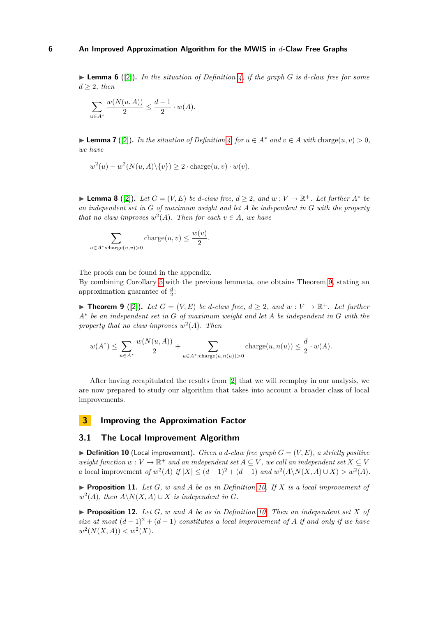$\triangleright$  **Lemma 6** ([\[2\]](#page-13-0)). In the situation of Definition [4,](#page-4-1) if the graph G is d-claw free for some  $d \geq 2$ *, then* 

$$
\sum_{u \in A^*} \frac{w(N(u, A))}{2} \le \frac{d - 1}{2} \cdot w(A).
$$

<span id="page-5-2"></span>▶ **Lemma 7** ([\[2\]](#page-13-0)). *In the situation of Definition [4,](#page-4-1) for*  $u \in A^*$  *and*  $v \in A$  *with* charge $(u, v) > 0$ *, we have*

$$
w^{2}(u) - w^{2}(N(u, A)\setminus\{v\}) \ge 2 \cdot \text{charge}(u, v) \cdot w(v).
$$

<span id="page-5-3"></span>▶ **Lemma 8** ([\[2\]](#page-13-0)). Let  $G = (V, E)$  be *d*-claw free,  $d \geq 2$ , and  $w : V \to \mathbb{R}^+$ . Let further  $A^*$  be *an independent set in G of maximum weight and let A be independent in G with the property that no claw improves*  $w^2(A)$ *. Then for each*  $v \in A$ *, we have* 

$$
\sum_{u \in A^* : \text{charge}(u, v) > 0} \text{charge}(u, v) \le \frac{w(v)}{2}.
$$

The proofs can be found in the appendix.

By combining Corollary [5](#page-4-3) with the previous lemmata, one obtains Theorem [9,](#page-5-4) stating an approximation guarantee of  $\frac{d}{2}$ :

<span id="page-5-4"></span>▶ **Theorem 9** ([\[2\]](#page-13-0)). Let  $G = (V, E)$  be *d*-claw free,  $d \geq 2$ , and  $w : V \to \mathbb{R}^+$ . Let further *A*<sup>∗</sup> *be an independent set in G of maximum weight and let A be independent in G with the property that no claw improves w* 2 (*A*)*. Then*

$$
w(A^*) \le \sum_{u \in A^*} \frac{w(N(u, A))}{2} + \sum_{u \in A^* : \text{charge}(u, n(u)) > 0} \text{charge}(u, n(u)) \le \frac{d}{2} \cdot w(A).
$$

After having recapitulated the results from [\[2\]](#page-13-0) that we will reemploy in our analysis, we are now prepared to study our algorithm that takes into account a broader class of local improvements.

# <span id="page-5-0"></span>**3 Improving the Approximation Factor**

# **3.1 The Local Improvement Algorithm**

<span id="page-5-5"></span> $\triangleright$  **Definition 10** (Local improvement). *Given a d-claw free graph*  $G = (V, E)$ *, a strictly positive weight function*  $w: V \to \mathbb{R}^+$  *and an independent set*  $A \subseteq V$ *, we call an independent set*  $X \subseteq V$ *a* local improvement *of*  $w^2(A)$  *if*  $|X| \leq (d-1)^2 + (d-1)$  *and*  $w^2(A \setminus N(X, A) \cup X) > w^2(A)$ *.* 

<span id="page-5-6"></span> $\blacktriangleright$  **Proposition 11.** Let *G*, *w* and *A* be as in Definition [10.](#page-5-5) If *X* is a local improvement of  $w^2(A)$ , then  $A \setminus N(X, A) \cup X$  *is independent in G.* 

<span id="page-5-1"></span> $\blacktriangleright$  **Proposition 12.** Let *G*, *w* and *A* be as in Definition [10.](#page-5-5) Then an independent set *X* of *size at most*  $(d-1)^2 + (d-1)$  *constitutes a local improvement of A if and only if we have*  $w^2(N(X, A)) < w^2(X)$ .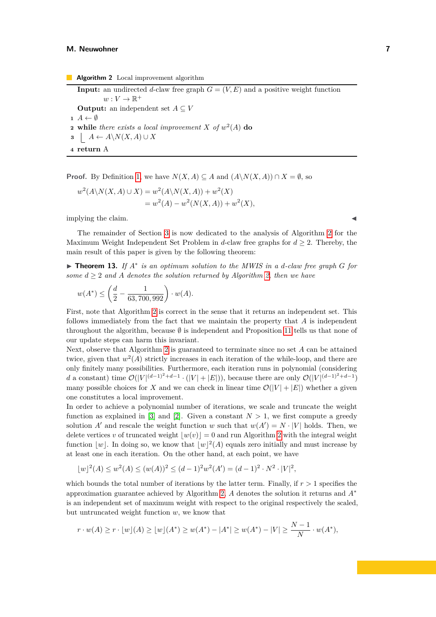**Algorithm 2** Local improvement algorithm **Input:** an undirected *d*-claw free graph  $G = (V, E)$  and a positive weight function  $w: V \to \mathbb{R}^+$ **Output:** an independent set  $A \subseteq V$  $\mathbf{1}$   $A \leftarrow \emptyset$ **2 while** *there exists a local improvement X of*  $w^2(A)$  **do 3**  $A \leftarrow A \setminus N(X, A) \cup X$ **<sup>4</sup> return** A

<span id="page-6-0"></span>**Proof.** By Definition [1,](#page-3-2) we have  $N(X, A) \subseteq A$  and  $(A \setminus N(X, A)) \cap X = \emptyset$ , so

$$
w^{2}(A \setminus N(X, A) \cup X) = w^{2}(A \setminus N(X, A)) + w^{2}(X)
$$
  
= w^{2}(A) - w^{2}(N(X, A)) + w^{2}(X),

implying the claim.

The remainder of Section [3](#page-5-0) is now dedicated to the analysis of Algorithm [2](#page-6-0) for the Maximum Weight Independent Set Problem in *d*-claw free graphs for  $d \geq 2$ . Thereby, the main result of this paper is given by the following theorem:

▶ **Theorem 13.** *If A*<sup>∗</sup> *is an optimum solution to the MWIS in a d-claw free graph G for some*  $d \geq 2$  *and A denotes the solution returned by Algorithm [2,](#page-6-0) then we have* 

$$
w(A^*) \le \left(\frac{d}{2} - \frac{1}{63,700,992}\right) \cdot w(A).
$$

First, note that Algorithm [2](#page-6-0) is correct in the sense that it returns an independent set. This follows immediately from the fact that we maintain the property that *A* is independent throughout the algorithm, because  $\emptyset$  is independent and Proposition [11](#page-5-6) tells us that none of our update steps can harm this invariant.

Next, observe that Algorithm [2](#page-6-0) is guaranteed to terminate since no set *A* can be attained twice, given that  $w^2(A)$  strictly increases in each iteration of the while-loop, and there are only finitely many possibilities. Furthermore, each iteration runs in polynomial (considering d a constant) time  $\mathcal{O}(|V|^{(d-1)^2+d-1} \cdot (|V|+|E|))$ , because there are only  $\mathcal{O}(|V|^{(d-1)^2+d-1})$ many possible choices for *X* and we can check in linear time  $\mathcal{O}(|V| + |E|)$  whether a given one constitutes a local improvement.

In order to achieve a polynomial number of iterations, we scale and truncate the weight function as explained in [\[3\]](#page-13-12) and [\[2\]](#page-13-0). Given a constant  $N > 1$ , we first compute a greedy solution *A'* and rescale the weight function *w* such that  $w(A') = N \cdot |V|$  holds. Then, we delete vertices *v* of truncated weight  $|w(v)| = 0$  and run Algorithm [2](#page-6-0) with the integral weight function  $|w|$ . In doing so, we know that  $|w|^2(A)$  equals zero initially and must increase by at least one in each iteration. On the other hand, at each point, we have

$$
\lfloor w \rfloor^{2}(A) \le w^{2}(A) \le (w(A))^{2} \le (d-1)^{2}w^{2}(A') = (d-1)^{2} \cdot N^{2} \cdot |V|^{2},
$$

which bounds the total number of iterations by the latter term. Finally, if *r >* 1 specifies the approximation guarantee achieved by Algorithm [2,](#page-6-0) *A* denotes the solution it returns and *A*<sup>∗</sup> is an independent set of maximum weight with respect to the original respectively the scaled, but untruncated weight function *w*, we know that

$$
r \cdot w(A) \ge r \cdot \lfloor w \rfloor(A) \ge \lfloor w \rfloor(A^*) \ge w(A^*) - |A^*| \ge w(A^*) - |V| \ge \frac{N-1}{N} \cdot w(A^*),
$$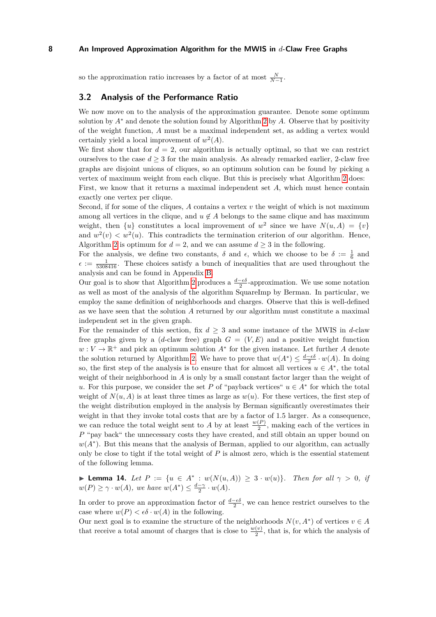so the approximation ratio increases by a factor of at most  $\frac{N}{N-1}$ .

# **3.2 Analysis of the Performance Ratio**

We now move on to the analysis of the approximation guarantee. Denote some optimum solution by  $A^*$  and denote the solution found by Algorithm [2](#page-6-0) by  $A$ . Observe that by positivity of the weight function, *A* must be a maximal independent set, as adding a vertex would certainly yield a local improvement of  $w^2(A)$ .

We first show that for  $d = 2$ , our algorithm is actually optimal, so that we can restrict ourselves to the case  $d \geq 3$  for the main analysis. As already remarked earlier, 2-claw free graphs are disjoint unions of cliques, so an optimum solution can be found by picking a vertex of maximum weight from each clique. But this is precisely what Algorithm [2](#page-6-0) does: First, we know that it returns a maximal independent set *A*, which must hence contain exactly one vertex per clique.

Second, if for some of the cliques, *A* contains a vertex *v* the weight of which is not maximum among all vertices in the clique, and  $u \notin A$  belongs to the same clique and has maximum weight, then  $\{u\}$  constitutes a local improvement of  $w^2$  since we have  $N(u, A) = \{v\}$ and  $w^2(v) < w^2(u)$ . This contradicts the termination criterion of our algorithm. Hence, Algorithm [2](#page-6-0) is optimum for  $d = 2$ , and we can assume  $d \geq 3$  in the following.

For the analysis, we define two constants,  $\delta$  and  $\epsilon$ , which we choose to be  $\delta := \frac{1}{6}$  and  $\epsilon := \frac{1}{5308416}$ . These choices satisfy a bunch of inequalities that are used throughout the analysis and can be found in Appendix [B.](#page-14-0)

Our goal is to show that Algorithm [2](#page-6-0) produces a  $\frac{d-\epsilon\delta}{2}$ -approximation. We use some notation as well as most of the analysis of the algorithm SquareImp by Berman. In particular, we employ the same definition of neighborhoods and charges. Observe that this is well-defined as we have seen that the solution *A* returned by our algorithm must constitute a maximal independent set in the given graph.

For the remainder of this section, fix  $d \geq 3$  and some instance of the MWIS in *d*-claw free graphs given by a (*d*-claw free) graph  $G = (V, E)$  and a positive weight function  $w: V \to \mathbb{R}^+$  and pick an optimum solution  $A^*$  for the given instance. Let further *A* denote the solution returned by Algorithm [2.](#page-6-0) We have to prove that  $w(A^*) \leq \frac{d-\epsilon \delta}{2} \cdot w(A)$ . In doing so, the first step of the analysis is to ensure that for almost all vertices  $u \in A^*$ , the total weight of their neighborhood in *A* is only by a small constant factor larger than the weight of *u*. For this purpose, we consider the set *P* of "payback vertices"  $u \in A^*$  for which the total weight of  $N(u, A)$  is at least three times as large as  $w(u)$ . For these vertices, the first step of the weight distribution employed in the analysis by Berman significantly overestimates their weight in that they invoke total costs that are by a factor of 1*.*5 larger. As a consequence, we can reduce the total weight sent to *A* by at least  $\frac{w(P)}{2}$ , making each of the vertices in *P* "pay back" the unnecessary costs they have created, and still obtain an upper bound on  $w(A^*)$ . But this means that the analysis of Berman, applied to our algorithm, can actually only be close to tight if the total weight of *P* is almost zero, which is the essential statement of the following lemma.

<span id="page-7-0"></span>▶ **Lemma 14.** *Let*  $P := \{u \in A^* : w(N(u, A)) \geq 3 \cdot w(u)\}$ *. Then for all*  $\gamma > 0$ *, if*  $w(P) \ge \gamma \cdot w(A)$ , we have  $w(A^*) \le \frac{d-\gamma}{2} \cdot w(A)$ .

In order to prove an approximation factor of  $\frac{d-\epsilon\delta}{2}$ , we can hence restrict ourselves to the case where  $w(P) < \epsilon \delta \cdot w(A)$  in the following.

Our next goal is to examine the structure of the neighborhoods  $N(v, A^*)$  of vertices  $v \in A$ that receive a total amount of charges that is close to  $\frac{w(v)}{2}$ , that is, for which the analysis of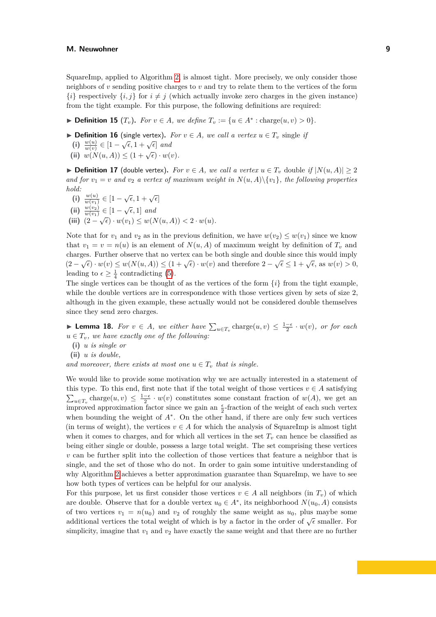SquareImp, applied to Algorithm [2,](#page-6-0) is almost tight. More precisely, we only consider those neighbors of *v* sending positive charges to *v* and try to relate them to the vertices of the form  $\{i\}$  respectively  $\{i, j\}$  for  $i \neq j$  (which actually invoke zero charges in the given instance) from the tight example. For this purpose, the following definitions are required:

▶ **Definition 15**  $(T_v)$ . For  $v \in A$ , we define  $T_v := \{u \in A^* : \text{charge}(u, v) > 0\}.$ 

- ▶ **Definition 16** (single vertex). For  $v \in A$ , we call a vertex  $u \in T_v$  single if
	- **(i)**  $\frac{w(u)}{w(v)} \in [1 \sqrt{\epsilon}, 1 + \sqrt{\epsilon}]$  and<br> **(ii)**  $w(N(u, A)) \leq (1 + \sqrt{\epsilon}) \cdot w(v)$ .
	-

▶ **Definition 17** (double vertex). For  $v \in A$ , we call a vertex  $u \in T_v$  double if  $|N(u, A)| \geq 2$ *and for*  $v_1 = v$  *and*  $v_2$  *a vertex of maximum weight in*  $N(u, A) \setminus \{v_1\}$ *, the following properties hold:*

- $(i)$   $\frac{w(u)}{w(v_1)} \in [1 \sqrt{\epsilon}, 1 + \sqrt{\epsilon}]$ **(ii)**  $\frac{w(v_1)}{w(v_2)} \in [1 - \sqrt{\epsilon}, 1]$  and
- (iii)  $(2-\sqrt{\epsilon}) \cdot w(v_1) \leq w(N(u, A)) < 2 \cdot w(u)$ .

Note that for  $v_1$  and  $v_2$  as in the previous definition, we have  $w(v_2) \leq w(v_1)$  since we know that  $v_1 = v = n(u)$  is an element of  $N(u, A)$  of maximum weight by definition of  $T_v$  and charges. Further observe that no vertex can be both single and double since this would imply  $(2 - \sqrt{\epsilon}) \cdot w(v) \leq w(N(u, A)) \leq (1 + \sqrt{\epsilon}) \cdot w(v)$  and therefore  $2 - \sqrt{\epsilon} \leq 1 + \sqrt{\epsilon}$ , as  $w(v) > 0$ , leading to  $\epsilon \geq \frac{1}{4}$  contradicting [\(5\)](#page-15-0).

The single vertices can be thought of as the vertices of the form  $\{i\}$  from the tight example, while the double vertices are in correspondence with those vertices given by sets of size 2, although in the given example, these actually would not be considered double themselves since they send zero charges.

▶ **Lemma 18.** *For*  $v \in A$ *, we either have*  $\sum_{u \in T_v} \text{charge}(u, v) \leq \frac{1-\epsilon}{2} \cdot w(v)$ *, or for each*  $u \in T_v$ *, we have exactly one of the following:* 

- **(i)** *u is single or*
- <span id="page-8-0"></span>**(ii)** *u is double,*

*and moreover, there exists at most one*  $u \in T_v$  *that is single.* 

We would like to provide some motivation why we are actually interested in a statement of this type. To this end, first note that if the total weight of those vertices  $v \in A$  satisfying  $\sum_{u \in T_v} \text{charge}(u, v) \leq \frac{1-\epsilon}{2} \cdot w(v)$  constitutes some constant fraction of  $w(A)$ , we get an improved approximation factor since we gain an  $\frac{\epsilon}{2}$ -fraction of the weight of each such vertex when bounding the weight of *A*<sup>∗</sup> . On the other hand, if there are only few such vertices (in terms of weight), the vertices  $v \in A$  for which the analysis of SquareImp is almost tight when it comes to charges, and for which all vertices in the set  $T_v$  can hence be classified as being either single or double, possess a large total weight. The set comprising these vertices *v* can be further split into the collection of those vertices that feature a neighbor that is single, and the set of those who do not. In order to gain some intuitive understanding of why Algorithm [2](#page-6-0) achieves a better approximation guarantee than SquareImp, we have to see how both types of vertices can be helpful for our analysis.

For this purpose, let us first consider those vertices  $v \in A$  all neighbors (in  $T_v$ ) of which are double. Observe that for a double vertex  $u_0 \in A^*$ , its neighborhood  $N(u_0, A)$  consists of two vertices  $v_1 = n(u_0)$  and  $v_2$  of roughly the same weight as  $u_0$ , plus maybe some additional vertices the total weight of which is by a factor in the order of  $\sqrt{\epsilon}$  smaller. For simplicity, imagine that  $v_1$  and  $v_2$  have exactly the same weight and that there are no further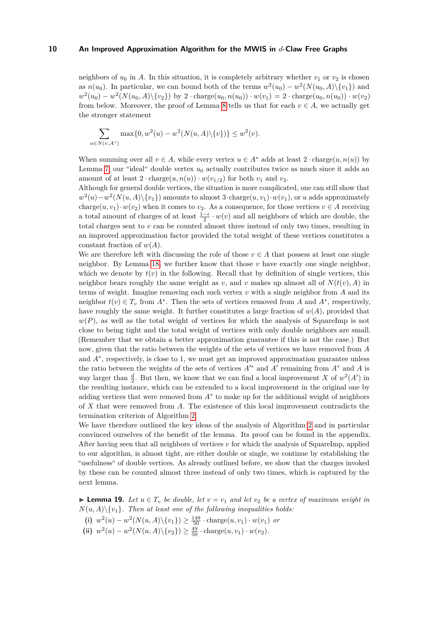neighbors of  $u_0$  in *A*. In this situation, it is completely arbitrary whether  $v_1$  or  $v_2$  is chosen as  $n(u_0)$ . In particular, we can bound both of the terms  $w^2(u_0) - w^2(N(u_0, A) \setminus \{v_1\})$  and  $w^2(u_0) - w^2(N(u_0, A) \setminus \{v_2\})$  by  $2 \cdot \text{charge}(u_0, n(u_0)) \cdot w(v_1) = 2 \cdot \text{charge}(u_0, n(u_0)) \cdot w(v_2)$ from below. Moreover, the proof of Lemma [8](#page-5-3) tells us that for each  $v \in A$ , we actually get the stronger statement

$$
\sum_{u \in N(v, A^*)} \max\{0, w^2(u) - w^2(N(u, A) \setminus \{v\})\} \le w^2(v).
$$

When summing over all  $v \in A$ , while every vertex  $u \in A^*$  adds at least  $2 \cdot \text{charge}(u, n(u))$  by Lemma [7,](#page-5-2) our "ideal" double vertex *u*<sup>0</sup> actually contributes twice as much since it adds an amount of at least  $2 \cdot \text{charge}(u, n(u)) \cdot w(v_{1/2})$  for both  $v_1$  and  $v_2$ .

Although for general double vertices, the situation is more complicated, one can still show that  $w^2(u) - w^2(N(u, A) \setminus \{v_1\})$  amounts to almost 3·charge $(u, v_1) \cdot w(v_1)$ , or *u* adds approximately charge $(u, v_1) \cdot w(v_2)$  when it comes to  $v_2$ . As a consequence, for those vertices  $v \in A$  receiving a total amount of charges of at least  $\frac{1-\epsilon}{2} \cdot w(v)$  and all neighbors of which are double, the total charges sent to *v* can be counted almost three instead of only two times, resulting in an improved approximation factor provided the total weight of these vertices constitutes a constant fraction of *w*(*A*).

We are therefore left with discussing the role of those  $v \in A$  that possess at least one single neighbor. By Lemma [18,](#page-8-0) we further know that those  $v$  have exactly one single neighbor, which we denote by  $t(v)$  in the following. Recall that by definition of single vertices, this neighbor bears roughly the same weight as *v*, and *v* makes up almost all of  $N(t(v), A)$  in terms of weight. Imagine removing each such vertex *v* with a single neighbor from *A* and its neighbor  $t(v) \in T_v$  from  $A^*$ . Then the sets of vertices removed from *A* and  $A^*$ , respectively, have roughly the same weight. It further constitutes a large fraction of  $w(A)$ , provided that  $w(P)$ , as well as the total weight of vertices for which the analysis of SquareImp is not close to being tight and the total weight of vertices with only double neighbors are small. (Remember that we obtain a better approximation guarantee if this is not the case.) But now, given that the ratio between the weights of the sets of vertices we have removed from *A* and *A*<sup>∗</sup> , respectively, is close to 1, we must get an improved approximation guarantee unless the ratio between the weights of the sets of vertices *A*′∗ and *A*′ remaining from *A*<sup>∗</sup> and *A* is way larger than  $\frac{d}{2}$ . But then, we know that we can find a local improvement *X* of  $w^2(A')$  in the resulting instance, which can be extended to a local improvement in the original one by adding vertices that were removed from *A*<sup>∗</sup> to make up for the additional weight of neighbors of *X* that were removed from *A*. The existence of this local improvement contradicts the termination criterion of Algorithm [2.](#page-6-0)

We have therefore outlined the key ideas of the analysis of Algorithm [2](#page-6-0) and in particular convinced ourselves of the benefit of the lemma. Its proof can be found in the appendix. After having seen that all neighbors of vertices *v* for which the analysis of SquareImp, applied to our algorithm, is almost tight, are either double or single, we continue by establishing the "usefulness" of double vertices. As already outlined before, we show that the charges invoked by these can be counted almost three instead of only two times, which is captured by the next lemma.

▶ **Lemma 19.** *Let*  $u \in T_v$  *be double, let*  $v = v_1$  *and let*  $v_2$  *be a vertex of maximum weight in*  $N(u, A) \setminus \{v_1\}$ . Then at least one of the following inequalities holds:

- (i)  $w^2(u) w^2(N(u, A) \setminus \{v_1\}) \ge \frac{149}{50} \cdot \text{charge}(u, v_1) \cdot w(v_1)$  or
- <span id="page-9-0"></span>(ii)  $w^2(u) - w^2(N(u, A) \setminus \{v_2\}) \ge \frac{49}{50} \cdot \text{charge}(u, v_1) \cdot w(v_2)$ *.*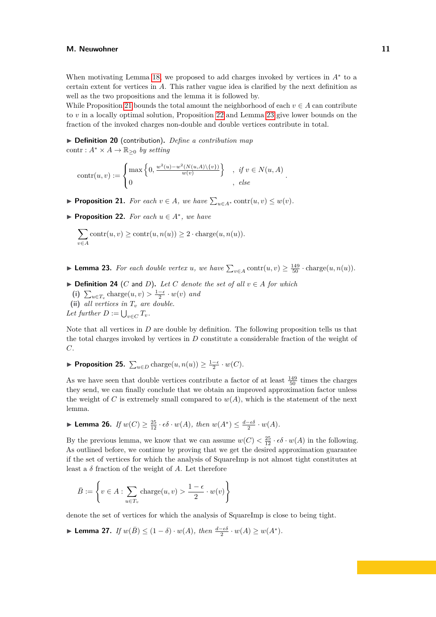When motivating Lemma [18,](#page-8-0) we proposed to add charges invoked by vertices in *A*<sup>∗</sup> to a certain extent for vertices in *A*. This rather vague idea is clarified by the next definition as well as the two propositions and the lemma it is followed by.

While Proposition [21](#page-10-0) bounds the total amount the neighborhood of each  $v \in A$  can contribute to *v* in a locally optimal solution, Proposition [22](#page-10-1) and Lemma [23](#page-10-2) give lower bounds on the fraction of the invoked charges non-double and double vertices contribute in total.

▶ **Definition 20** (contribution)**.** *Define a contribution map* contr :  $A^* \times A \to \mathbb{R}_{\geq 0}$  *by setting* 

$$
contr(u, v) := \begin{cases} \max\left\{0, \frac{w^2(u) - w^2(N(u, A) \setminus \{v\})}{w(v)}\right\} , & \text{if } v \in N(u, A) \\ 0 , & \text{else} \end{cases}.
$$

- <span id="page-10-0"></span>▶ **Proposition 21.** *For each*  $v \in A$ *, we have*  $\sum_{u \in A^*} \text{contr}(u, v) \leq w(v)$ *.*
- <span id="page-10-1"></span>▶ **Proposition 22.** *For each*  $u \in A^*$ *, we have*

$$
\sum_{v \in A} \operatorname{contr}(u, v) \ge \operatorname{contr}(u, n(u)) \ge 2 \cdot \operatorname{charge}(u, n(u)).
$$

- <span id="page-10-2"></span>▶ **Lemma 23.** *For each double vertex u, we have*  $\sum_{v \in A} \text{contr}(u, v) \ge \frac{149}{50} \cdot \text{charge}(u, n(u))$ *.*
- $\triangleright$  **Definition 24** (*C* and *D*). Let *C* denote the set of all  $v \in A$  for which
	- (i)  $\sum_{u \in T_v} \text{charge}(u, v) > \frac{1-\epsilon}{2} \cdot w(v)$  and
	- **(ii)** *all vertices in T<sup>v</sup> are double.*

Let further  $D := \bigcup_{v \in C} T_v$ .

Note that all vertices in *D* are double by definition. The following proposition tells us that the total charges invoked by vertices in *D* constitute a considerable fraction of the weight of *C*.

<span id="page-10-3"></span>▶ **Proposition 25.**  $\sum_{u \in D} \text{charge}(u, n(u)) \geq \frac{1-\epsilon}{2} \cdot w(C)$ .

As we have seen that double vertices contribute a factor of at least  $\frac{149}{50}$  times the charges they send, we can finally conclude that we obtain an improved approximation factor unless the weight of *C* is extremely small compared to  $w(A)$ , which is the statement of the next lemma.

<span id="page-10-4"></span>► **Lemma 26.** *If*  $w(C) \ge \frac{25}{12} \cdot \epsilon \delta \cdot w(A)$ *, then*  $w(A^*) \le \frac{d - \epsilon \delta}{2} \cdot w(A)$ *.* 

By the previous lemma, we know that we can assume  $w(C) < \frac{25}{12} \cdot \epsilon \delta \cdot w(A)$  in the following. As outlined before, we continue by proving that we get the desired approximation guarantee if the set of vertices for which the analysis of SquareImp is not almost tight constitutes at least a  $\delta$  fraction of the weight of  $A$ . Let therefore

$$
\bar{B} := \left\{ v \in A : \sum_{u \in T_v} \text{charge}(u, v) > \frac{1 - \epsilon}{2} \cdot w(v) \right\}
$$

<span id="page-10-5"></span>denote the set of vertices for which the analysis of SquareImp is close to being tight.

▶ **Lemma 27.** *If*  $w(\bar{B}) \leq (1 - \delta) \cdot w(A)$ , then  $\frac{d - \epsilon \delta}{2} \cdot w(A) \geq w(A^*)$ .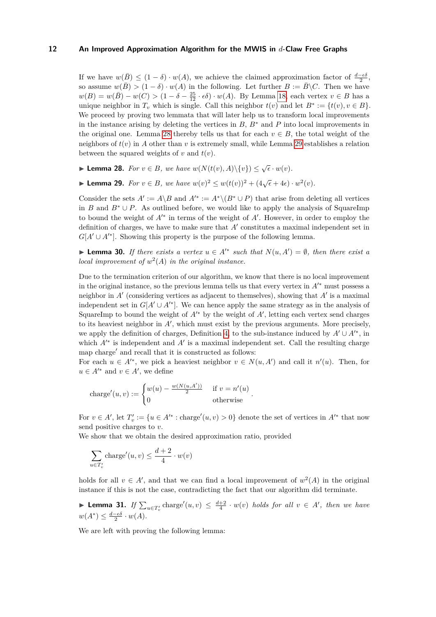If we have  $w(\bar{B}) \leq (1 - \delta) \cdot w(A)$ , we achieve the claimed approximation factor of  $\frac{d-\epsilon\delta}{2}$ , so assume  $w(\bar{B}) > (1 - \delta) \cdot w(A)$  in the following. Let further  $B := \bar{B} \backslash C$ . Then we have  $w(B) = w(\bar{B}) - w(C) > (1 - \delta - \frac{25}{12} \cdot \epsilon \delta) \cdot w(A)$ . By Lemma [18,](#page-8-0) each vertex  $v \in B$  has a unique neighbor in  $T_v$  which is single. Call this neighbor  $t(v)$  and let  $B^* := \{t(v), v \in B\}$ . We proceed by proving two lemmata that will later help us to transform local improvements in the instance arising by deleting the vertices in  $B$ ,  $B^*$  and  $P$  into local improvements in the original one. Lemma [28](#page-11-0) thereby tells us that for each  $v \in B$ , the total weight of the neighbors of  $t(v)$  in *A* other than *v* is extremely small, while Lemma [29](#page-11-1) establishes a relation between the squared weights of  $v$  and  $t(v)$ .

<span id="page-11-0"></span>▶ **Lemma 28.** *For*  $v \in B$ *, we have*  $w(N(t(v), A) \setminus \{v\}) \leq \sqrt{\epsilon} \cdot w(v)$ *.* 

<span id="page-11-1"></span>▶ **Lemma 29.** *For*  $v \in B$ *, we have*  $w(v)^2 \le w(t(v))^2 + (4\sqrt{\epsilon} + 4\epsilon) \cdot w^2(v)$ *.* 

Consider the sets  $A' := A \setminus B$  and  $A'^* := A^* \setminus (B^* \cup P)$  that arise from deleting all vertices in *B* and  $B^* \cup P$ . As outlined before, we would like to apply the analysis of SquareImp to bound the weight of *A*′∗ in terms of the weight of *A*′ . However, in order to employ the definition of charges, we have to make sure that *A*′ constitutes a maximal independent set in  $G[A' \cup A'^*]$ . Showing this property is the purpose of the following lemma.

<span id="page-11-2"></span>▶ **Lemma 30.** *If there exists a vertex*  $u \in A'^*$  *such that*  $N(u, A') = ∅$ *, then there exist a local improvement of*  $w^2(A)$  *in the original instance.* 

Due to the termination criterion of our algorithm, we know that there is no local improvement in the original instance, so the previous lemma tells us that every vertex in *A*′∗ must possess a neighbor in *A*′ (considering vertices as adjacent to themselves), showing that *A*′ is a maximal independent set in  $G[A' \cup A'^*]$ . We can hence apply the same strategy as in the analysis of SquareImp to bound the weight of  $A^{\prime\ast}$  by the weight of  $A^{\prime}$ , letting each vertex send charges to its heaviest neighbor in *A*′ , which must exist by the previous arguments. More precisely, we apply the definition of charges, Definition [4,](#page-4-1) to the sub-instance induced by  $A' \cup A'^*$ , in which  $A'^*$  is independent and  $A'$  is a maximal independent set. Call the resulting charge map charge′ and recall that it is constructed as follows:

For each  $u \in A^{**}$ , we pick a heaviest neighbor  $v \in N(u, A')$  and call it  $n'(u)$ . Then, for  $u \in A'^*$  and  $v \in A'$ , we define

charge'(u, v) :=   
\n
$$
\begin{cases}\nw(u) - \frac{w(N(u, A'))}{2} & \text{if } v = n'(u) \\
0 & \text{otherwise}\n\end{cases}
$$

For  $v \in A'$ , let  $T'_v := \{u \in A'^* : \text{charge}'(u, v) > 0\}$  denote the set of vertices in  $A'^*$  that now send positive charges to *v*.

We show that we obtain the desired approximation ratio, provided

$$
\sum_{u \in T'_v} \text{charge}'(u, v) \le \frac{d+2}{4} \cdot w(v)
$$

holds for all  $v \in A'$ , and that we can find a local improvement of  $w^2(A)$  in the original instance if this is not the case, contradicting the fact that our algorithm did terminate.

<span id="page-11-3"></span>▶ **Lemma 31.** *If*  $\sum_{u \in T'_v} \text{charge}'(u, v) \leq \frac{d+2}{4} \cdot w(v)$  *holds for all*  $v \in A'$ *, then we have*  $w(A^*) \leq \frac{d-\epsilon\delta}{2} \cdot w(A)$ .

<span id="page-11-4"></span>We are left with proving the following lemma: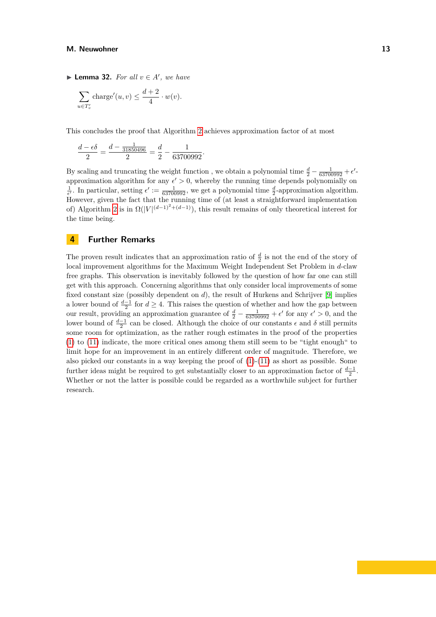▶ **Lemma 32.** *For all*  $v \in A'$ *, we have* 

$$
\sum_{u \in T'_v} \text{charge}'(u, v) \le \frac{d+2}{4} \cdot w(v).
$$

This concludes the proof that Algorithm [2](#page-6-0) achieves approximation factor of at most

$$
\frac{d - \epsilon \delta}{2} = \frac{d - \frac{1}{31850496}}{2} = \frac{d}{2} - \frac{1}{63700992}.
$$

By scaling and truncating the weight function, we obtain a polynomial time  $\frac{d}{2} - \frac{1}{63700992} + \epsilon'$ approximation algorithm for any  $\epsilon' > 0$ , whereby the running time depends polynomially on  $\frac{1}{\epsilon'}$ . In particular, setting  $\epsilon' := \frac{1}{63700992}$ , we get a polynomial time  $\frac{d}{2}$ -approximation algorithm. However, given the fact that the running time of (at least a straightforward implementation of) Algorithm [2](#page-6-0) is in  $\Omega(|V|^{(d-1)^2 + (d-1)})$ , this result remains of only theoretical interest for the time being.

# <span id="page-12-0"></span>**4 Further Remarks**

The proven result indicates that an approximation ratio of  $\frac{d}{2}$  is not the end of the story of local improvement algorithms for the Maximum Weight Independent Set Problem in *d*-claw free graphs. This observation is inevitably followed by the question of how far one can still get with this approach. Concerning algorithms that only consider local improvements of some fixed constant size (possibly dependent on *d*), the result of Hurkens and Schrijver [\[9\]](#page-13-1) implies a lower bound of  $\frac{d-1}{2}$  for  $d \geq 4$ . This raises the question of whether and how the gap between our result, providing an approximation guarantee of  $\frac{d}{2} - \frac{1}{63700992} + \epsilon'$  for any  $\epsilon' > 0$ , and the lower bound of  $\frac{d-1}{2}$  can be closed. Although the choice of our constants  $\epsilon$  and  $\delta$  still permits some room for optimization, as the rather rough estimates in the proof of the properties [\(1\)](#page-14-1) to [\(11\)](#page-15-1) indicate, the more critical ones among them still seem to be "tight enough" to limit hope for an improvement in an entirely different order of magnitude. Therefore, we also picked our constants in a way keeping the proof of  $(1)-(11)$  $(1)-(11)$  $(1)-(11)$  as short as possible. Some further ideas might be required to get substantially closer to an approximation factor of  $\frac{d-1}{2}$ . Whether or not the latter is possible could be regarded as a worthwhile subject for further research.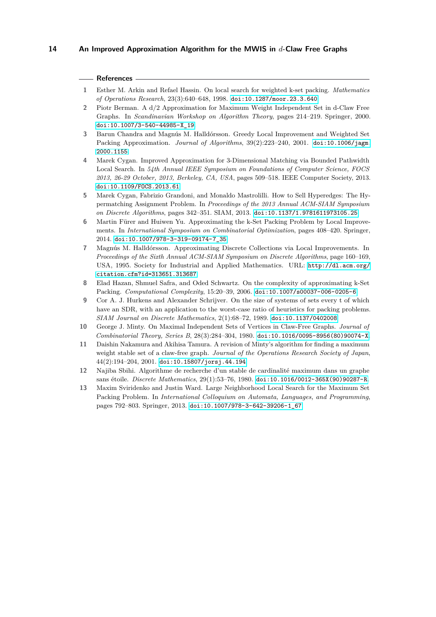## **References**

- <span id="page-13-11"></span>**1** Esther M. Arkin and Refael Hassin. On local search for weighted k-set packing. *Mathematics of Operations Research*, 23(3):640–648, 1998. [doi:10.1287/moor.23.3.640](https://doi.org/10.1287/moor.23.3.640).
- <span id="page-13-0"></span>**2** Piotr Berman. A d/2 Approximation for Maximum Weight Independent Set in d-Claw Free Graphs. In *Scandinavian Workshop on Algorithm Theory*, pages 214–219. Springer, 2000. [doi:10.1007/3-540-44985-X\\_19](https://doi.org/10.1007/3-540-44985-X_19).
- <span id="page-13-12"></span>**3** Barun Chandra and Magnús M. Halldórsson. Greedy Local Improvement and Weighted Set Packing Approximation. *Journal of Algorithms*, 39(2):223–240, 2001. [doi:10.1006/jagm.](https://doi.org/10.1006/jagm.2000.1155) [2000.1155](https://doi.org/10.1006/jagm.2000.1155).
- <span id="page-13-6"></span>**4** Marek Cygan. Improved Approximation for 3-Dimensional Matching via Bounded Pathwidth Local Search. In *54th Annual IEEE Symposium on Foundations of Computer Science, FOCS 2013, 26-29 October, 2013, Berkeley, CA, USA*, pages 509–518. IEEE Computer Society, 2013. [doi:10.1109/FOCS.2013.61](https://doi.org/10.1109/FOCS.2013.61).
- <span id="page-13-4"></span>**5** Marek Cygan, Fabrizio Grandoni, and Monaldo Mastrolilli. How to Sell Hyperedges: The Hypermatching Assignment Problem. In *Proceedings of the 2013 Annual ACM-SIAM Symposium on Discrete Algorithms*, pages 342–351. SIAM, 2013. [doi:10.1137/1.9781611973105.25](https://doi.org/10.1137/1.9781611973105.25).
- <span id="page-13-7"></span>**6** Martin Fürer and Huiwen Yu. Approximating the k-Set Packing Problem by Local Improvements. In *International Symposium on Combinatorial Optimization*, pages 408–420. Springer, 2014. [doi:10.1007/978-3-319-09174-7\\_35](https://doi.org/10.1007/978-3-319-09174-7_35).
- <span id="page-13-3"></span>**7** Magnús M. Halldórsson. Approximating Discrete Collections via Local Improvements. In *Proceedings of the Sixth Annual ACM-SIAM Symposium on Discrete Algorithms*, page 160–169, USA, 1995. Society for Industrial and Applied Mathematics. URL: [http://dl.acm.org/](http://dl.acm.org/citation.cfm?id=313651.313687) [citation.cfm?id=313651.313687](http://dl.acm.org/citation.cfm?id=313651.313687).
- <span id="page-13-2"></span>**8** Elad Hazan, Shmuel Safra, and Oded Schwartz. On the complexity of approximating k-Set Packing. *Computational Complexity*, 15:20–39, 2006. [doi:10.1007/s00037-006-0205-6](https://doi.org/10.1007/s00037-006-0205-6).
- <span id="page-13-1"></span>**9** Cor A. J. Hurkens and Alexander Schrijver. On the size of systems of sets every t of which have an SDR, with an application to the worst-case ratio of heuristics for packing problems. *SIAM Journal on Discrete Mathematics*, 2(1):68–72, 1989. [doi:10.1137/0402008](https://doi.org/10.1137/0402008).
- <span id="page-13-8"></span>**10** George J. Minty. On Maximal Independent Sets of Vertices in Claw-Free Graphs. *Journal of Combinatorial Theory, Series B*, 28(3):284–304, 1980. [doi:10.1016/0095-8956\(80\)90074-X](https://doi.org/10.1016/0095-8956(80)90074-X).
- <span id="page-13-10"></span>**11** Daishin Nakamura and Akihisa Tamura. A revision of Minty's algorithm for finding a maximum weight stable set of a claw-free graph. *Journal of the Operations Research Society of Japan*, 44(2):194–204, 2001. [doi:10.15807/jorsj.44.194](https://doi.org/10.15807/jorsj.44.194).
- <span id="page-13-9"></span>**12** Najiba Sbihi. Algorithme de recherche d'un stable de cardinalité maximum dans un graphe sans étoile. *Discrete Mathematics*, 29(1):53–76, 1980. [doi:10.1016/0012-365X\(90\)90287-R](https://doi.org/10.1016/0012-365X(90)90287-R).
- <span id="page-13-5"></span>**13** Maxim Sviridenko and Justin Ward. Large Neighborhood Local Search for the Maximum Set Packing Problem. In *International Colloquium on Automata, Languages, and Programming*, pages 792–803. Springer, 2013. [doi:10.1007/978-3-642-39206-1\\_67](https://doi.org/10.1007/978-3-642-39206-1_67).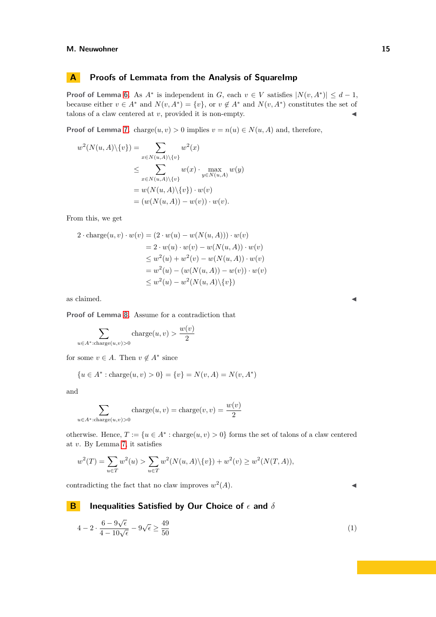# **A Proofs of Lemmata from the Analysis of SquareImp**

**Proof of Lemma [6.](#page-4-2)** As  $A^*$  is independent in *G*, each  $v \in V$  satisfies  $|N(v, A^*)| \leq d - 1$ , because either  $v \in A^*$  and  $N(v, A^*) = \{v\}$ , or  $v \notin A^*$  and  $N(v, A^*)$  constitutes the set of talons of a claw centered at  $v$ , provided it is non-empty.  $\triangleleft$ 

**Proof of Lemma [7.](#page-5-2)** charge $(u, v) > 0$  implies  $v = n(u) \in N(u, A)$  and, therefore,

$$
w^{2}(N(u, A)\setminus\{v\}) = \sum_{x \in N(u, A)\setminus\{v\}} w^{2}(x)
$$
  
\n
$$
\leq \sum_{x \in N(u, A)\setminus\{v\}} w(x) \cdot \max_{y \in N(u, A)} w(y)
$$
  
\n
$$
= w(N(u, A)\setminus\{v\}) \cdot w(v)
$$
  
\n
$$
= (w(N(u, A)) - w(v)) \cdot w(v).
$$

From this, we get

$$
2 \cdot \text{charge}(u, v) \cdot w(v) = (2 \cdot w(u) - w(N(u, A))) \cdot w(v)
$$
  
= 2 \cdot w(u) \cdot w(v) - w(N(u, A)) \cdot w(v)  

$$
\leq w^2(u) + w^2(v) - w(N(u, A)) \cdot w(v)
$$
  
= w<sup>2</sup>(u) - (w(N(u, A)) - w(v)) \cdot w(v)  

$$
\leq w^2(u) - w^2(N(u, A) \setminus \{v\})
$$

as claimed.  $\blacktriangleleft$ 

**Proof of Lemma [8.](#page-5-3)** Assume for a contradiction that

 $\sum$ *u*∈*A*∗:charge(*u,v*)*>*0 charge $(u, v) > \frac{w(v)}{2}$ 2

for some  $v \in A$ . Then  $v \notin A^*$  since

$$
\{u \in A^* : \text{charge}(u, v) > 0\} = \{v\} = N(v, A) = N(v, A^*)
$$

and

$$
\sum_{u \in A^* : \text{charge}(u,v) > 0} \text{charge}(u,v) = \text{charge}(v,v) = \frac{w(v)}{2}
$$

otherwise. Hence,  $T := \{u \in A^* : \text{charge}(u, v) > 0\}$  forms the set of talons of a claw centered at *v*. By Lemma [7,](#page-5-2) it satisfies

$$
w^{2}(T) = \sum_{u \in T} w^{2}(u) > \sum_{u \in T} w^{2}(N(u, A) \setminus \{v\}) + w^{2}(v) \ge w^{2}(N(T, A)),
$$

<span id="page-14-0"></span>**B Inequalities Satisfied by Our Choice of** *ϵ* **and** *δ*

contradicting the fact that no claw improves *w* 2  $(A).$ 

#### <span id="page-14-1"></span> $4-2\cdot\frac{6-9\sqrt{\epsilon}}{4-10\sqrt{\epsilon}}-9\sqrt{\epsilon}\geq\frac{49}{50}$ 50 (1)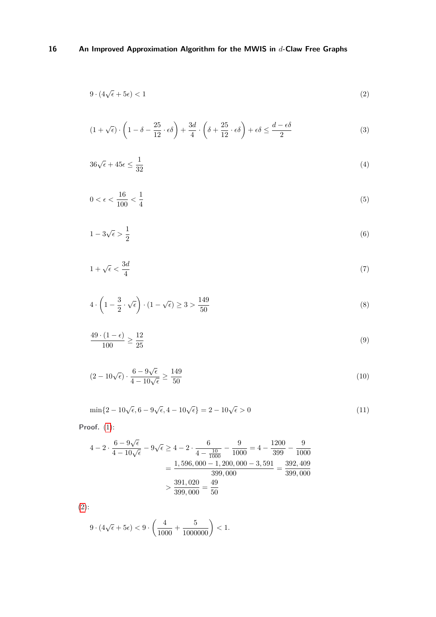<span id="page-15-2"></span>
$$
9 \cdot (4\sqrt{\epsilon} + 5\epsilon) < 1 \tag{2}
$$

<span id="page-15-3"></span>
$$
(1 + \sqrt{\epsilon}) \cdot \left(1 - \delta - \frac{25}{12} \cdot \epsilon \delta\right) + \frac{3d}{4} \cdot \left(\delta + \frac{25}{12} \cdot \epsilon \delta\right) + \epsilon \delta \le \frac{d - \epsilon \delta}{2} \tag{3}
$$

<span id="page-15-4"></span>
$$
36\sqrt{\epsilon} + 45\epsilon \le \frac{1}{32} \tag{4}
$$

<span id="page-15-0"></span>
$$
0 < \epsilon < \frac{16}{100} < \frac{1}{4} \tag{5}
$$

<span id="page-15-5"></span>
$$
1 - 3\sqrt{\epsilon} > \frac{1}{2} \tag{6}
$$

<span id="page-15-6"></span>
$$
1 + \sqrt{\epsilon} < \frac{3d}{4} \tag{7}
$$

<span id="page-15-7"></span>
$$
4 \cdot \left(1 - \frac{3}{2} \cdot \sqrt{\epsilon}\right) \cdot (1 - \sqrt{\epsilon}) \ge 3 > \frac{149}{50}
$$
\n
$$
(8)
$$

<span id="page-15-8"></span>
$$
\frac{49 \cdot (1 - \epsilon)}{100} \ge \frac{12}{25} \tag{9}
$$

<span id="page-15-9"></span>
$$
(2 - 10\sqrt{\epsilon}) \cdot \frac{6 - 9\sqrt{\epsilon}}{4 - 10\sqrt{\epsilon}} \ge \frac{149}{50}
$$
\n
$$
(10)
$$

<span id="page-15-1"></span>
$$
\min\{2 - 10\sqrt{\epsilon}, 6 - 9\sqrt{\epsilon}, 4 - 10\sqrt{\epsilon}\} = 2 - 10\sqrt{\epsilon} > 0
$$
\n(11)

**Proof.** [\(1\)](#page-14-1):

$$
4 - 2 \cdot \frac{6 - 9\sqrt{\epsilon}}{4 - 10\sqrt{\epsilon}} - 9\sqrt{\epsilon} \ge 4 - 2 \cdot \frac{6}{4 - \frac{10}{1000}} - \frac{9}{1000} = 4 - \frac{1200}{399} - \frac{9}{1000}
$$

$$
= \frac{1,596,000 - 1,200,000 - 3,591}{399,000} = \frac{392,409}{399,000}
$$

$$
> \frac{391,020}{399,000} = \frac{49}{50}
$$

[\(2\)](#page-15-2):

$$
9 \cdot (4\sqrt{\epsilon} + 5\epsilon) < 9 \cdot \left(\frac{4}{1000} + \frac{5}{1000000}\right) < 1.
$$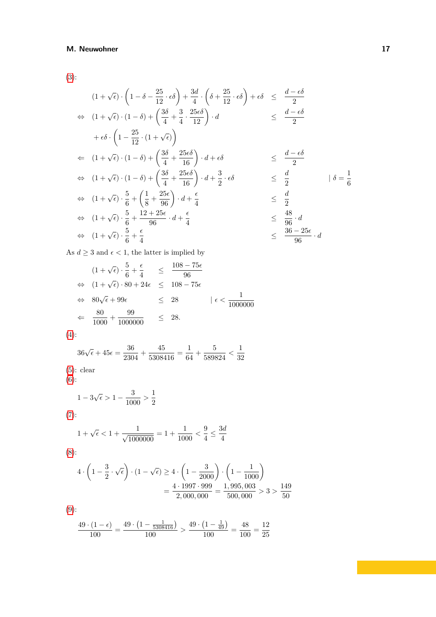[\(3\)](#page-15-3):

$$
(1 + \sqrt{\epsilon}) \cdot \left(1 - \delta - \frac{25}{12} \cdot \epsilon \delta\right) + \frac{3d}{4} \cdot \left(\delta + \frac{25}{12} \cdot \epsilon \delta\right) + \epsilon \delta \leq \frac{d - \epsilon \delta}{2}
$$
  
\n
$$
\Leftrightarrow (1 + \sqrt{\epsilon}) \cdot (1 - \delta) + \left(\frac{3\delta}{4} + \frac{3}{4} \cdot \frac{25\epsilon \delta}{12}\right) \cdot d \leq \frac{d - \epsilon \delta}{2}
$$
  
\n
$$
+ \epsilon \delta \cdot \left(1 - \frac{25}{12} \cdot (1 + \sqrt{\epsilon})\right)
$$
  
\n
$$
\Leftrightarrow (1 + \sqrt{\epsilon}) \cdot (1 - \delta) + \left(\frac{3\delta}{4} + \frac{25\epsilon \delta}{16}\right) \cdot d + \epsilon \delta \leq \frac{d - \epsilon \delta}{2}
$$
  
\n
$$
\Leftrightarrow (1 + \sqrt{\epsilon}) \cdot (1 - \delta) + \left(\frac{3\delta}{4} + \frac{25\epsilon \delta}{16}\right) \cdot d + \frac{3}{2} \cdot \epsilon \delta \leq \frac{d}{2}
$$
  
\n
$$
\Leftrightarrow (1 + \sqrt{\epsilon}) \cdot \frac{5}{6} + \left(\frac{1}{8} + \frac{25\epsilon}{96}\right) \cdot d + \frac{\epsilon}{4}
$$
  
\n
$$
\Leftrightarrow (1 + \sqrt{\epsilon}) \cdot \frac{5}{6} + \frac{12 + 25\epsilon}{96} \cdot d + \frac{\epsilon}{4}
$$
  
\n
$$
\Leftrightarrow (1 + \sqrt{\epsilon}) \cdot \frac{5}{6} + \frac{\epsilon}{4}
$$
  
\n
$$
\Leftrightarrow (1 + \sqrt{\epsilon}) \cdot \frac{5}{6} + \frac{\epsilon}{4}
$$
  
\n
$$
\Leftrightarrow \frac{36 - 25\epsilon}{96} \cdot d
$$

As  $d\geq 3$  and  $\epsilon<1,$  the latter is implied by

$$
(1 + \sqrt{\epsilon}) \cdot \frac{5}{6} + \frac{\epsilon}{4} \leq \frac{108 - 75\epsilon}{96}
$$
  
\n
$$
\Leftrightarrow (1 + \sqrt{\epsilon}) \cdot 80 + 24\epsilon \leq 108 - 75\epsilon
$$
  
\n
$$
\Leftrightarrow 80\sqrt{\epsilon} + 99\epsilon \leq 28 \qquad |\epsilon < \frac{1}{1000000}
$$
  
\n
$$
\Leftrightarrow \frac{80}{1000} + \frac{99}{1000000} \leq 28.
$$

$$
(4):
$$

$$
36\sqrt{\epsilon} + 45\epsilon = \frac{36}{2304} + \frac{45}{5308416} = \frac{1}{64} + \frac{5}{589824} < \frac{1}{32}
$$

[\(5\)](#page-15-0): clear [\(6\)](#page-15-5):

 $1 - 3\sqrt{\epsilon} > 1 - \frac{3}{100}$ 

$$
1 - 3\sqrt{\epsilon} > 1 - \frac{3}{1000} > \frac{1}{2}
$$

[\(7\)](#page-15-6):

$$
1 + \sqrt{\epsilon} < 1 + \frac{1}{\sqrt{1000000}} = 1 + \frac{1}{1000} < \frac{9}{4} \le \frac{3d}{4}
$$

2

[\(8\)](#page-15-7):

$$
4 \cdot \left(1 - \frac{3}{2} \cdot \sqrt{\epsilon}\right) \cdot (1 - \sqrt{\epsilon}) \ge 4 \cdot \left(1 - \frac{3}{2000}\right) \cdot \left(1 - \frac{1}{1000}\right)
$$
  
= 
$$
\frac{4 \cdot 1997 \cdot 999}{2,000,000} = \frac{1,995,003}{500,000} > 3 > \frac{149}{50}
$$

[\(9\)](#page-15-8):

$$
\frac{49 \cdot (1 - \epsilon)}{100} = \frac{49 \cdot (1 - \frac{1}{5308416})}{100} > \frac{49 \cdot (1 - \frac{1}{49})}{100} = \frac{48}{100} = \frac{12}{25}
$$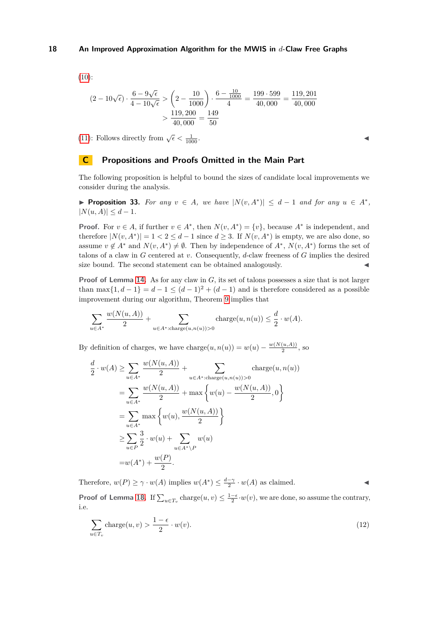$$
(10)
$$
:

$$
(2 - 10\sqrt{\epsilon}) \cdot \frac{6 - 9\sqrt{\epsilon}}{4 - 10\sqrt{\epsilon}} > \left(2 - \frac{10}{1000}\right) \cdot \frac{6 - \frac{10}{1000}}{4} = \frac{199 \cdot 599}{40,000} = \frac{119,201}{40,000}
$$

$$
> \frac{119,200}{40,000} = \frac{149}{50}
$$

[\(11\)](#page-15-1): Follows directly from  $\sqrt{\epsilon} < \frac{1}{100}$  $\frac{1}{1000}$ .

# **C Propositions and Proofs Omitted in the Main Part**

The following proposition is helpful to bound the sizes of candidate local improvements we consider during the analysis.

<span id="page-17-0"></span>▶ **Proposition 33.** For any  $v \in A$ , we have  $|N(v, A^*)| \leq d - 1$  and for any  $u \in A^*$ ,  $|N(u, A)| \leq d - 1.$ 

**Proof.** For  $v \in A$ , if further  $v \in A^*$ , then  $N(v, A^*) = \{v\}$ , because  $A^*$  is independent, and therefore  $|N(v, A^*)| = 1 < 2 \le d - 1$  since  $d \ge 3$ . If  $N(v, A^*)$  is empty, we are also done, so assume  $v \notin A^*$  and  $N(v, A^*) \neq \emptyset$ . Then by independence of  $A^*$ ,  $N(v, A^*)$  forms the set of talons of a claw in *G* centered at *v*. Consequently, *d*-claw freeness of *G* implies the desired size bound. The second statement can be obtained analogously.

**Proof of Lemma [14.](#page-7-0)** As for any claw in *G*, its set of talons possesses a size that is not larger than max $\{1, d-1\} = d-1 \leq (d-1)^2 + (d-1)$  and is therefore considered as a possible improvement during our algorithm, Theorem [9](#page-5-4) implies that

$$
\sum_{u \in A^*} \frac{w(N(u, A))}{2} + \sum_{u \in A^* : \text{charge}(u, n(u)) > 0} \text{charge}(u, n(u)) \le \frac{d}{2} \cdot w(A).
$$

By definition of charges, we have charge $(u, n(u)) = w(u) - \frac{w(N(u, A))}{2}$  $\frac{(u,A))}{2}$ , so

*w*(*N*(*u, A*))

$$
\frac{d}{2} \cdot w(A) \ge \sum_{u \in A^*} \frac{w(N(u, A))}{2} + \sum_{u \in A^* : \text{charge}(u, n(u)) > 0} \text{charge}(u, n(u))
$$
\n
$$
= \sum_{u \in A^*} \frac{w(N(u, A))}{2} + \max \left\{ w(u) - \frac{w(N(u, A))}{2}, 0 \right\}
$$
\n
$$
= \sum_{u \in A^*} \max \left\{ w(u), \frac{w(N(u, A))}{2} \right\}
$$
\n
$$
\ge \sum_{u \in P} \frac{3}{2} \cdot w(u) + \sum_{u \in A^* \setminus P} w(u)
$$
\n
$$
= w(A^*) + \frac{w(P)}{2}.
$$

Therefore,  $w(P) \ge \gamma \cdot w(A)$  implies  $w(A^*) \le \frac{d-\gamma}{2} \cdot w(A)$  as claimed.

<span id="page-17-1"></span>**Proof of Lemma [18.](#page-8-0)** If  $\sum_{u \in T_v} \text{charge}(u, v) \leq \frac{1-\epsilon}{2} \cdot w(v)$ , we are done, so assume the contrary, i.e.

$$
\sum_{u \in T_v} \text{charge}(u, v) > \frac{1 - \epsilon}{2} \cdot w(v). \tag{12}
$$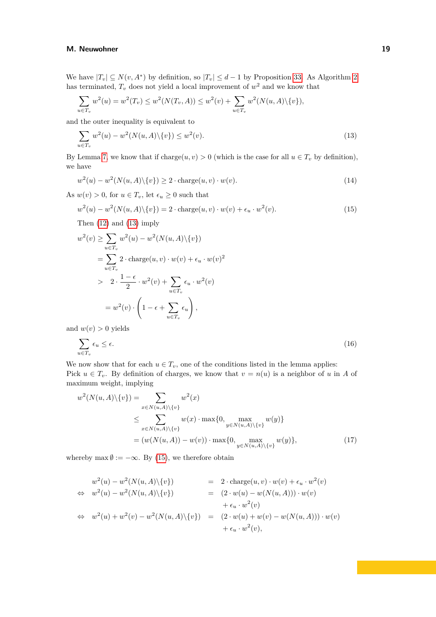We have  $|T_v| \subseteq N(v, A^*)$  by definition, so  $|T_v| \leq d-1$  by Proposition [33.](#page-17-0) As Algorithm [2](#page-6-0) has terminated,  $T_v$  does not yield a local improvement of  $w^2$  and we know that

$$
\sum_{u \in T_v} w^2(u) = w^2(T_v) \le w^2(N(T_v, A)) \le w^2(v) + \sum_{u \in T_v} w^2(N(u, A) \setminus \{v\}),
$$

and the outer inequality is equivalent to

<span id="page-18-0"></span>
$$
\sum_{u \in T_v} w^2(u) - w^2(N(u, A) \setminus \{v\}) \le w^2(v). \tag{13}
$$

By Lemma [7,](#page-5-2) we know that if charge $(u, v) > 0$  (which is the case for all  $u \in T_v$  by definition), we have

<span id="page-18-4"></span><span id="page-18-1"></span>
$$
w^{2}(u) - w^{2}(N(u, A)\setminus\{v\}) \ge 2 \cdot \text{charge}(u, v) \cdot w(v). \tag{14}
$$

As  $w(v) > 0$ , for  $u \in T_v$ , let  $\epsilon_u \geq 0$  such that

$$
w^{2}(u) - w^{2}(N(u, A)\setminus\{v\}) = 2 \cdot \text{charge}(u, v) \cdot w(v) + \epsilon_{u} \cdot w^{2}(v). \tag{15}
$$

Then [\(12\)](#page-17-1) and [\(13\)](#page-18-0) imply

$$
w^{2}(v) \geq \sum_{u \in T_{v}} w^{2}(u) - w^{2}(N(u, A) \setminus \{v\})
$$
  
\n
$$
= \sum_{u \in T_{v}} 2 \cdot \text{charge}(u, v) \cdot w(v) + \epsilon_{u} \cdot w(v)^{2}
$$
  
\n
$$
> 2 \cdot \frac{1 - \epsilon}{2} \cdot w^{2}(v) + \sum_{u \in T_{v}} \epsilon_{u} \cdot w^{2}(v)
$$
  
\n
$$
= w^{2}(v) \cdot \left(1 - \epsilon + \sum_{u \in T_{v}} \epsilon_{u}\right),
$$
  
\n
$$
w(v) > 0 \text{ yields}
$$

and  $w(v) > 0$  yields

<span id="page-18-3"></span>
$$
\sum_{u \in T_v} \epsilon_u \le \epsilon. \tag{16}
$$

We now show that for each  $u \in T_v$ , one of the conditions listed in the lemma applies: Pick  $u \in T_v$ . By definition of charges, we know that  $v = n(u)$  is a neighbor of *u* in *A* of maximum weight, implying

$$
w^{2}(N(u, A)\setminus\{v\}) = \sum_{x \in N(u, A)\setminus\{v\}} w^{2}(x)
$$
  
\n
$$
\leq \sum_{x \in N(u, A)\setminus\{v\}} w(x) \cdot \max\{0, \max_{y \in N(u, A)\setminus\{v\}} w(y)\}
$$
  
\n
$$
= (w(N(u, A)) - w(v)) \cdot \max\{0, \max_{y \in N(u, A)\setminus\{v\}} w(y)\},
$$
\n(17)

whereby max  $\emptyset := -\infty$ . By [\(15\)](#page-18-1), we therefore obtain

<span id="page-18-2"></span>
$$
w^{2}(u) - w^{2}(N(u, A)\setminus\{v\}) = 2 \cdot \text{charge}(u, v) \cdot w(v) + \epsilon_{u} \cdot w^{2}(v)
$$
  
\n
$$
\Leftrightarrow w^{2}(u) - w^{2}(N(u, A)\setminus\{v\}) = (2 \cdot w(u) - w(N(u, A))) \cdot w(v)
$$
  
\n
$$
\Leftrightarrow w^{2}(u) + w^{2}(v) - w^{2}(N(u, A)\setminus\{v\}) = (2 \cdot w(u) + w(v) - w(N(u, A))) \cdot w(v)
$$
  
\n
$$
+ \epsilon_{u} \cdot w^{2}(v),
$$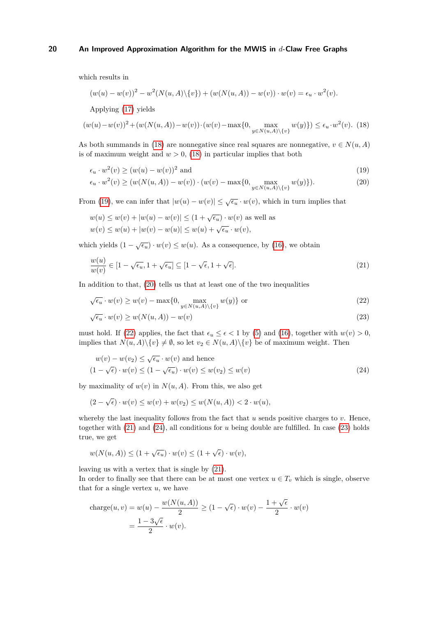which results in

$$
(w(u) - w(v))^{2} - w^{2}(N(u, A)\setminus\{v\}) + (w(N(u, A)) - w(v)) \cdot w(v) = \epsilon_{u} \cdot w^{2}(v).
$$

<span id="page-19-0"></span>Applying [\(17\)](#page-18-2) yields

$$
(w(u) - w(v))^2 + (w(N(u, A)) - w(v)) \cdot (w(v) - \max\{0, \max_{y \in N(u, A) \setminus \{v\}} w(y)\}) \le \epsilon_u \cdot w^2(v). \tag{18}
$$

As both summands in [\(18\)](#page-19-0) are nonnegative since real squares are nonnegative,  $v \in N(u, A)$ is of maximum weight and  $w > 0$ , [\(18\)](#page-19-0) in particular implies that both

<span id="page-19-2"></span><span id="page-19-1"></span>
$$
\epsilon_u \cdot w^2(v) \ge (w(u) - w(v))^2 \text{ and } \tag{19}
$$

$$
\epsilon_u \cdot w^2(v) \ge (w(N(u, A)) - w(v)) \cdot (w(v) - \max\{0, \max_{y \in N(u, A) \setminus \{v\}} w(y)\}).
$$
\n(20)

From [\(19\)](#page-19-1), we can infer that  $|w(u) - w(v)| \leq \sqrt{\epsilon_u} \cdot w(v)$ , which in turn implies that

$$
w(u) \le w(v) + |w(u) - w(v)| \le (1 + \sqrt{\epsilon_u}) \cdot w(v)
$$
 as well as  

$$
w(v) \le w(u) + |w(v) - w(u)| \le w(u) + \sqrt{\epsilon_u} \cdot w(v),
$$

which yields  $(1 - \sqrt{\epsilon_u}) \cdot w(v) \leq w(u)$ . As a consequence, by [\(16\)](#page-18-3), we obtain

<span id="page-19-4"></span>
$$
\frac{w(u)}{w(v)} \in [1 - \sqrt{\epsilon_u}, 1 + \sqrt{\epsilon_u}] \subseteq [1 - \sqrt{\epsilon}, 1 + \sqrt{\epsilon}].
$$
\n(21)

In addition to that, [\(20\)](#page-19-2) tells us that at least one of the two inequalities

$$
\sqrt{\epsilon_u} \cdot w(v) \ge w(v) - \max\{0, \max_{y \in N(u, A) \setminus \{v\}} w(y)\} \text{ or } (22)
$$

<span id="page-19-6"></span><span id="page-19-5"></span><span id="page-19-3"></span>
$$
\overline{\epsilon_u} \cdot w(v) \ge w(N(u, A)) - w(v) \tag{23}
$$

must hold. If [\(22\)](#page-19-3) applies, the fact that  $\epsilon_u \leq \epsilon < 1$  by [\(5\)](#page-15-0) and [\(16\)](#page-18-3), together with  $w(v) > 0$ , implies that  $N(u, A) \setminus \{v\} \neq \emptyset$ , so let  $v_2 \in N(u, A) \setminus \{v\}$  be of maximum weight. Then

$$
w(v) - w(v_2) \le \sqrt{\epsilon_u} \cdot w(v) \text{ and hence}
$$
  

$$
(1 - \sqrt{\epsilon}) \cdot w(v) \le (1 - \sqrt{\epsilon_u}) \cdot w(v) \le w(v_2) \le w(v)
$$
 (24)

by maximality of  $w(v)$  in  $N(u, A)$ . From this, we also get

$$
(2 - \sqrt{\epsilon}) \cdot w(v) \le w(v) + w(v_2) \le w(N(u, A)) < 2 \cdot w(u),
$$

whereby the last inequality follows from the fact that  $u$  sends positive charges to  $v$ . Hence, together with [\(21\)](#page-19-4) and [\(24\)](#page-19-5), all conditions for *u* being double are fulfilled. In case [\(23\)](#page-19-6) holds true, we get

$$
w(N(u, A)) \le (1 + \sqrt{\epsilon_u}) \cdot w(v) \le (1 + \sqrt{\epsilon}) \cdot w(v),
$$

leaving us with a vertex that is single by [\(21\)](#page-19-4).

In order to finally see that there can be at most one vertex  $u \in T_v$  which is single, observe that for a single vertex *u*, we have

charge
$$
(u, v) = w(u) - \frac{w(N(u, A))}{2} \ge (1 - \sqrt{\epsilon}) \cdot w(v) - \frac{1 + \sqrt{\epsilon}}{2} \cdot w(v)
$$
  
=  $\frac{1 - 3\sqrt{\epsilon}}{2} \cdot w(v).$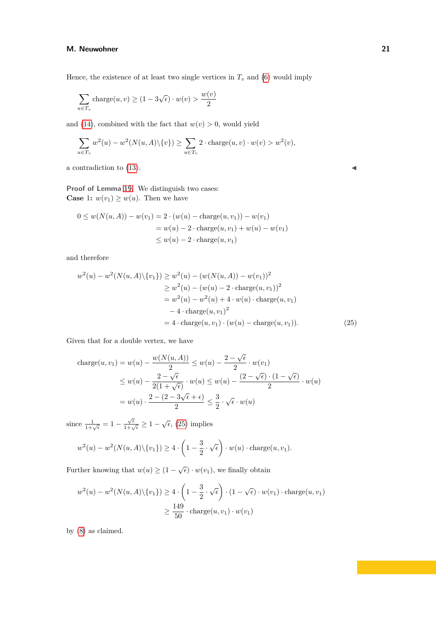Hence, the existence of at least two single vertices in  $T_v$  and [\(6\)](#page-15-5) would imply

$$
\sum_{u \in T_v} \text{charge}(u, v) \ge (1 - 3\sqrt{\epsilon}) \cdot w(v) > \frac{w(v)}{2}
$$

and [\(14\)](#page-18-4), combined with the fact that  $w(v) > 0$ , would yield

$$
\sum_{u \in T_v} w^2(u) - w^2(N(u, A) \setminus \{v\}) \ge \sum_{u \in T_v} 2 \cdot \text{charge}(u, v) \cdot w(v) > w^2(v),
$$

a contradiction to  $(13)$ .

**Proof of Lemma [19.](#page-9-0)** We distinguish two cases: **Case** 1:  $w(v_1) \geq w(u)$ . Then we have

$$
0 \le w(N(u, A)) - w(v_1) = 2 \cdot (w(u) - \text{charge}(u, v_1)) - w(v_1)
$$
  
=  $w(u) - 2 \cdot \text{charge}(u, v_1) + w(u) - w(v_1)$   
 $\le w(u) - 2 \cdot \text{charge}(u, v_1)$ 

and therefore

$$
w^{2}(u) - w^{2}(N(u, A)\setminus\{v_{1}\}) \ge w^{2}(u) - (w(N(u, A)) - w(v_{1}))^{2}
$$
  
\n
$$
\ge w^{2}(u) - (w(u) - 2 \cdot \text{charge}(u, v_{1}))^{2}
$$
  
\n
$$
= w^{2}(u) - w^{2}(u) + 4 \cdot w(u) \cdot \text{charge}(u, v_{1})
$$
  
\n
$$
- 4 \cdot \text{charge}(u, v_{1})^{2}
$$
  
\n
$$
= 4 \cdot \text{charge}(u, v_{1}) \cdot (w(u) - \text{charge}(u, v_{1})). \tag{25}
$$

Given that for a double vertex, we have

<span id="page-20-0"></span>charge
$$
(u, v_1)
$$
 =  $w(u) - \frac{w(N(u, A))}{2} \le w(u) - \frac{2 - \sqrt{\epsilon}}{2} \cdot w(v_1)$   
\n $\le w(u) - \frac{2 - \sqrt{\epsilon}}{2(1 + \sqrt{\epsilon})} \cdot w(u) \le w(u) - \frac{(2 - \sqrt{\epsilon}) \cdot (1 - \sqrt{\epsilon})}{2} \cdot w(u)$   
\n=  $w(u) \cdot \frac{2 - (2 - 3\sqrt{\epsilon} + \epsilon)}{2} \le \frac{3}{2} \cdot \sqrt{\epsilon} \cdot w(u)$ 

since  $\frac{1}{1+\sqrt{\epsilon}} = 1 - \frac{\sqrt{\epsilon}}{1+\sqrt{\epsilon}} \ge 1 - \sqrt{\epsilon}$ , [\(25\)](#page-20-0) implies

$$
w^{2}(u) - w^{2}(N(u, A)\setminus \{v_{1}\}) \ge 4 \cdot \left(1 - \frac{3}{2} \cdot \sqrt{\epsilon}\right) \cdot w(u) \cdot \text{charge}(u, v_{1}).
$$

Further knowing that  $w(u) \geq (1 - \sqrt{\epsilon}) \cdot w(v_1)$ , we finally obtain

$$
w^2(u) - w^2(N(u, A) \setminus \{v_1\}) \ge 4 \cdot \left(1 - \frac{3}{2} \cdot \sqrt{\epsilon}\right) \cdot (1 - \sqrt{\epsilon}) \cdot w(v_1) \cdot \text{charge}(u, v_1)
$$

$$
\ge \frac{149}{50} \cdot \text{charge}(u, v_1) \cdot w(v_1)
$$

by [\(8\)](#page-15-7) as claimed.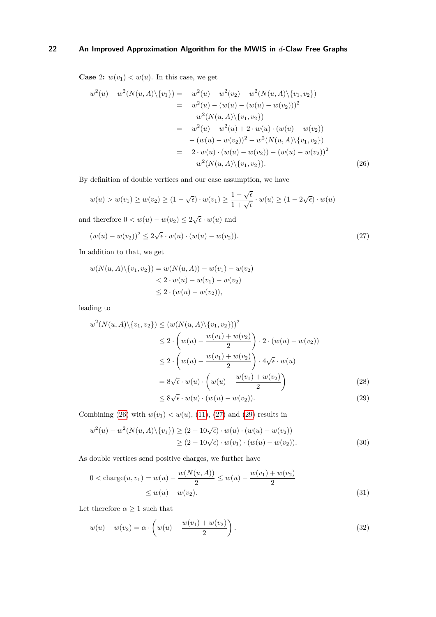**Case** 2:  $w(v_1) < w(u)$ . In this case, we get

$$
w^{2}(u) - w^{2}(N(u, A)\setminus\{v_{1}\}) = w^{2}(u) - w^{2}(v_{2}) - w^{2}(N(u, A)\setminus\{v_{1}, v_{2}\})
$$
  
\n
$$
= w^{2}(u) - (w(u) - (w(u) - w(v_{2})))^{2}
$$
  
\n
$$
- w^{2}(N(u, A)\setminus\{v_{1}, v_{2}\})
$$
  
\n
$$
= w^{2}(u) - w^{2}(u) + 2 \cdot w(u) \cdot (w(u) - w(v_{2}))
$$
  
\n
$$
- (w(u) - w(v_{2}))^{2} - w^{2}(N(u, A)\setminus\{v_{1}, v_{2}\})
$$
  
\n
$$
= 2 \cdot w(u) \cdot (w(u) - w(v_{2})) - (w(u) - w(v_{2}))^{2}
$$
  
\n
$$
- w^{2}(N(u, A)\setminus\{v_{1}, v_{2}\}).
$$
\n(26)

By definition of double vertices and our case assumption, we have

<span id="page-21-0"></span>
$$
w(u) > w(v_1) \ge w(v_2) \ge (1 - \sqrt{\epsilon}) \cdot w(v_1) \ge \frac{1 - \sqrt{\epsilon}}{1 + \sqrt{\epsilon}} \cdot w(u) \ge (1 - 2\sqrt{\epsilon}) \cdot w(u)
$$

and therefore  $0 < w(u) - w(v_2) \leq 2\sqrt{\epsilon} \cdot w(u)$  and

<span id="page-21-1"></span>
$$
(w(u) - w(v_2))^2 \le 2\sqrt{\epsilon} \cdot w(u) \cdot (w(u) - w(v_2)).
$$
\n(27)

In addition to that, we get

$$
w(N(u, A) \setminus \{v_1, v_2\}) = w(N(u, A)) - w(v_1) - w(v_2)
$$
  
< 
$$
< 2 \cdot w(u) - w(v_1) - w(v_2)
$$
  

$$
\leq 2 \cdot (w(u) - w(v_2)),
$$

leading to

$$
w^{2}(N(u, A)\setminus \{v_{1}, v_{2}\}) \leq (w(N(u, A)\setminus \{v_{1}, v_{2}\}))^{2}
$$
  
\n
$$
\leq 2 \cdot \left(w(u) - \frac{w(v_{1}) + w(v_{2})}{2}\right) \cdot 2 \cdot (w(u) - w(v_{2}))
$$
  
\n
$$
\leq 2 \cdot \left(w(u) - \frac{w(v_{1}) + w(v_{2})}{2}\right) \cdot 4\sqrt{\epsilon} \cdot w(u)
$$
  
\n
$$
= 8\sqrt{\epsilon} \cdot w(u) \cdot \left(w(u) - \frac{w(v_{1}) + w(v_{2})}{2}\right)
$$
  
\n
$$
\leq 8\sqrt{\epsilon} \cdot w(u) \cdot (w(u) - w(v_{1})). \tag{28}
$$

<span id="page-21-6"></span><span id="page-21-4"></span><span id="page-21-3"></span><span id="page-21-2"></span>
$$
\leq 8\sqrt{\epsilon} \cdot w(u) \cdot (w(u) - w(v_2)).\tag{29}
$$

Combining [\(26\)](#page-21-0) with  $w(v_1) < w(u)$ , [\(11\)](#page-15-1), [\(27\)](#page-21-1) and [\(29\)](#page-21-2) results in

$$
w^{2}(u) - w^{2}(N(u, A)\setminus\{v_{1}\}) \geq (2 - 10\sqrt{\epsilon}) \cdot w(u) \cdot (w(u) - w(v_{2}))
$$
  
 
$$
\geq (2 - 10\sqrt{\epsilon}) \cdot w(v_{1}) \cdot (w(u) - w(v_{2})). \tag{30}
$$

As double vertices send positive charges, we further have

$$
0 < \text{charge}(u, v_1) = w(u) - \frac{w(N(u, A))}{2} \le w(u) - \frac{w(v_1) + w(v_2)}{2}
$$
\n
$$
\le w(u) - w(v_2). \tag{31}
$$

Let therefore  $\alpha \geq 1$  such that

<span id="page-21-5"></span>
$$
w(u) - w(v_2) = \alpha \cdot \left( w(u) - \frac{w(v_1) + w(v_2)}{2} \right).
$$
 (32)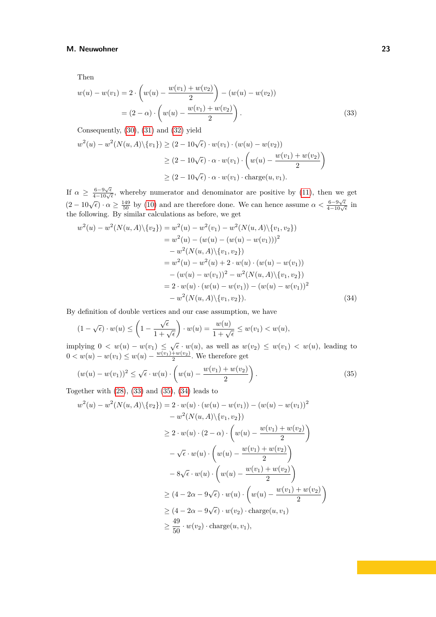Then

<span id="page-22-0"></span>
$$
w(u) - w(v_1) = 2 \cdot \left( w(u) - \frac{w(v_1) + w(v_2)}{2} \right) - (w(u) - w(v_2))
$$
  
=  $(2 - \alpha) \cdot \left( w(u) - \frac{w(v_1) + w(v_2)}{2} \right).$  (33)

Consequently, [\(30\)](#page-21-3), [\(31\)](#page-21-4) and [\(32\)](#page-21-5) yield

$$
w^{2}(u) - w^{2}(N(u, A)\setminus \{v_{1}\}) \geq (2 - 10\sqrt{\epsilon}) \cdot w(v_{1}) \cdot (w(u) - w(v_{2}))
$$
  
 
$$
\geq (2 - 10\sqrt{\epsilon}) \cdot \alpha \cdot w(v_{1}) \cdot \left(w(u) - \frac{w(v_{1}) + w(v_{2})}{2}\right)
$$
  
 
$$
\geq (2 - 10\sqrt{\epsilon}) \cdot \alpha \cdot w(v_{1}) \cdot \text{charge}(u, v_{1}).
$$

If  $\alpha \geq \frac{6-9\sqrt{\epsilon}}{4-10\sqrt{\epsilon}}$ , whereby numerator and denominator are positive by [\(11\)](#page-15-1), then we get  $(2-10\sqrt{\epsilon}) \cdot \alpha \ge \frac{149}{50}$  by [\(10\)](#page-15-9) and are therefore done. We can hence assume  $\alpha < \frac{6-9\sqrt{\epsilon}}{4-10\sqrt{\epsilon}}$  in the following. By similar calculations as before, we get

$$
w^{2}(u) - w^{2}(N(u, A)\setminus\{v_{2}\}) = w^{2}(u) - w^{2}(v_{1}) - w^{2}(N(u, A)\setminus\{v_{1}, v_{2}\})
$$
  
\n
$$
= w^{2}(u) - (w(u) - (w(u) - w(v_{1})))^{2}
$$
  
\n
$$
- w^{2}(N(u, A)\setminus\{v_{1}, v_{2}\})
$$
  
\n
$$
= w^{2}(u) - w^{2}(u) + 2 \cdot w(u) \cdot (w(u) - w(v_{1}))
$$
  
\n
$$
- (w(u) - w(v_{1}))^{2} - w^{2}(N(u, A)\setminus\{v_{1}, v_{2}\})
$$
  
\n
$$
= 2 \cdot w(u) \cdot (w(u) - w(v_{1})) - (w(u) - w(v_{1}))^{2}
$$
  
\n
$$
- w^{2}(N(u, A)\setminus\{v_{1}, v_{2}\}). \tag{34}
$$

By definition of double vertices and our case assumption, we have

<span id="page-22-2"></span>
$$
(1 - \sqrt{\epsilon}) \cdot w(u) \le \left(1 - \frac{\sqrt{\epsilon}}{1 + \sqrt{\epsilon}}\right) \cdot w(u) = \frac{w(u)}{1 + \sqrt{\epsilon}} \le w(v_1) < w(u),
$$

implying  $0 < w(u) - w(v_1) \leq \sqrt{\epsilon} \cdot w(u)$ , as well as  $w(v_2) \leq w(v_1) < w(u)$ , leading to  $0 < w(u) - w(v_1) \leq w(u) - \frac{w(v_1) + w(v_2)}{2}$ . We therefore get

<span id="page-22-1"></span>
$$
(w(u) - w(v_1))^2 \le \sqrt{\epsilon} \cdot w(u) \cdot \left(w(u) - \frac{w(v_1) + w(v_2)}{2}\right).
$$
 (35)

Together with  $(28)$ ,  $(33)$  and  $(35)$ ,  $(34)$  leads to

$$
w^{2}(u) - w^{2}(N(u, A)\setminus \{v_{2}\}) = 2 \cdot w(u) \cdot (w(u) - w(v_{1})) - (w(u) - w(v_{1}))^{2}
$$
  

$$
- w^{2}(N(u, A)\setminus \{v_{1}, v_{2}\})
$$
  

$$
\geq 2 \cdot w(u) \cdot (2 - \alpha) \cdot \left(w(u) - \frac{w(v_{1}) + w(v_{2})}{2}\right)
$$
  

$$
- \sqrt{\epsilon} \cdot w(u) \cdot \left(w(u) - \frac{w(v_{1}) + w(v_{2})}{2}\right)
$$
  

$$
- 8\sqrt{\epsilon} \cdot w(u) \cdot \left(w(u) - \frac{w(v_{1}) + w(v_{2})}{2}\right)
$$
  

$$
\geq (4 - 2\alpha - 9\sqrt{\epsilon}) \cdot w(u) \cdot \left(w(u) - \frac{w(v_{1}) + w(v_{2})}{2}\right)
$$
  

$$
\geq (4 - 2\alpha - 9\sqrt{\epsilon}) \cdot w(v_{2}) \cdot \text{charge}(u, v_{1})
$$
  

$$
\geq \frac{49}{50} \cdot w(v_{2}) \cdot \text{charge}(u, v_{1}),
$$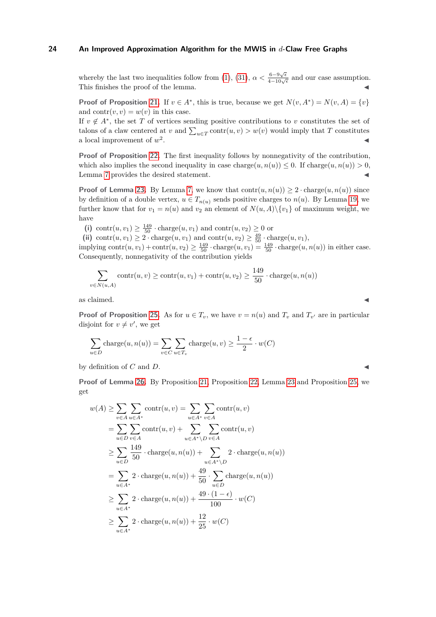whereby the last two inequalities follow from [\(1\)](#page-14-1), [\(31\)](#page-21-4),  $\alpha < \frac{6-9\sqrt{\epsilon}}{4-10\sqrt{\epsilon}}$  and our case assumption. This finishes the proof of the lemma.

**Proof of Proposition [21.](#page-10-0)** If  $v \in A^*$ , this is true, because we get  $N(v, A^*) = N(v, A) = \{v\}$ and  $contr(v, v) = w(v)$  in this case.

If  $v \notin A^*$ , the set *T* of vertices sending positive contributions to *v* constitutes the set of talons of a claw centered at *v* and  $\sum_{u \in T} \text{contr}(u, v) > w(v)$  would imply that *T* constitutes a local improvement of *w* 2 . ◀

**Proof of Proposition [22.](#page-10-1)** The first inequality follows by nonnegativity of the contribution, which also implies the second inequality in case charge $(u, n(u)) \leq 0$ . If charge $(u, n(u)) > 0$ , Lemma [7](#page-5-2) provides the desired statement.

**Proof of Lemma [23.](#page-10-2)** By Lemma [7,](#page-5-2) we know that  $\text{contr}(u, n(u)) \geq 2 \cdot \text{charge}(u, n(u))$  since by definition of a double vertex,  $u \in T_{n(u)}$  sends positive charges to  $n(u)$ . By Lemma [19,](#page-9-0) we further know that for  $v_1 = n(u)$  and  $v_2$  an element of  $N(u, A) \setminus \{v_1\}$  of maximum weight, we have

(i) contr $(u, v_1) \geq \frac{149}{50} \cdot \text{charge}(u, v_1)$  and  $\text{contr}(u, v_2) \geq 0$  or

(ii) contr $(u, v_1) \geq 2 \cdot \text{charge}(u, v_1)$  and  $\text{contr}(u, v_2) \geq \frac{49}{50} \cdot \text{charge}(u, v_1)$ ,

implying  $\text{contr}(u, v_1) + \text{contr}(u, v_2) \ge \frac{149}{50} \cdot \text{charge}(u, v_1) = \frac{149}{50} \cdot \text{charge}(u, n(u))$  in either case. Consequently, nonnegativity of the contribution yields

$$
\sum_{v \in N(u,A)} \operatorname{contr}(u,v) \ge \operatorname{contr}(u,v_1) + \operatorname{contr}(u,v_2) \ge \frac{149}{50} \cdot \operatorname{charge}(u,n(u))
$$

as claimed.  $\blacktriangleleft$ 

**Proof of Proposition [25.](#page-10-3)** As for  $u \in T_v$ , we have  $v = n(u)$  and  $T_v$  and  $T_{v'}$  are in particular disjoint for  $v \neq v'$ , we get

$$
\sum_{u \in D} \text{charge}(u, n(u)) = \sum_{v \in C} \sum_{u \in T_v} \text{charge}(u, v) \ge \frac{1 - \epsilon}{2} \cdot w(C)
$$

by definition of  $C$  and  $D$ .

**Proof of Lemma [26.](#page-10-4)** By Proposition [21,](#page-10-0) Proposition [22,](#page-10-1) Lemma [23](#page-10-2) and Proposition [25,](#page-10-3) we get

$$
w(A) \ge \sum_{v \in A} \sum_{u \in A^*} \operatorname{contr}(u, v) = \sum_{u \in A^*} \sum_{v \in A} \operatorname{contr}(u, v)
$$
  
\n
$$
= \sum_{u \in D} \sum_{v \in A} \operatorname{contr}(u, v) + \sum_{u \in A^* \setminus D} \sum_{v \in A} \operatorname{contr}(u, v)
$$
  
\n
$$
\ge \sum_{u \in D} \frac{149}{50} \cdot \operatorname{charge}(u, n(u)) + \sum_{u \in A^* \setminus D} 2 \cdot \operatorname{charge}(u, n(u))
$$
  
\n
$$
= \sum_{u \in A^*} 2 \cdot \operatorname{charge}(u, n(u)) + \frac{49}{50} \cdot \sum_{u \in D} \operatorname{charge}(u, n(u))
$$
  
\n
$$
\ge \sum_{u \in A^*} 2 \cdot \operatorname{charge}(u, n(u)) + \frac{49 \cdot (1 - \epsilon)}{100} \cdot w(C)
$$
  
\n
$$
\ge \sum_{u \in A^*} 2 \cdot \operatorname{charge}(u, n(u)) + \frac{12}{25} \cdot w(C)
$$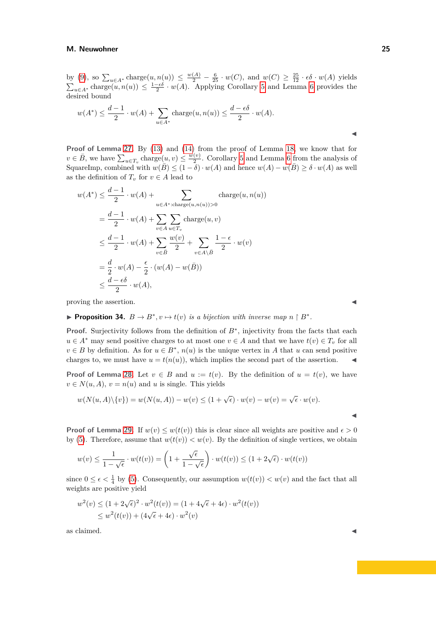by [\(9\)](#page-15-8), so  $\sum_{u \in A^*} \text{charge}(u, n(u)) \le \frac{w(A)}{2} - \frac{6}{25} \cdot w(C)$ , and  $w(C) \ge \frac{25}{12} \cdot \epsilon \delta \cdot w(A)$  yields  $\sum_{u \in A^*} \text{charge}(u, n(u)) \leq \frac{1-\epsilon \delta}{2} \cdot w(A)$ . Applying Corollary [5](#page-4-3) and Lemma [6](#page-4-2) provides the desired bound

$$
w(A^*) \le \frac{d-1}{2} \cdot w(A) + \sum_{u \in A^*} \text{charge}(u, n(u)) \le \frac{d - \epsilon \delta}{2} \cdot w(A).
$$

**Proof of Lemma [27.](#page-10-5)** By [\(13\)](#page-18-0) and [\(14\)](#page-18-4) from the proof of Lemma [18,](#page-8-0) we know that for  $v \in \overline{B}$ , we have  $\sum_{u \in T_v} \text{charge}(u, v) \leq \frac{w(v)}{2}$  $\frac{(v)}{2}$ . Corollary [5](#page-4-3) and Lemma [6](#page-4-2) from the analysis of SquareImp, combined with  $w(\overline{B}) \leq (1 - \delta) \cdot w(A)$  and hence  $w(A) - w(\overline{B}) \geq \delta \cdot w(A)$  as well as the definition of  $T_v$  for  $v \in A$  lead to

$$
w(A^*) \leq \frac{d-1}{2} \cdot w(A) + \sum_{u \in A^*:\text{charge}(u,n(u))>0} \text{charge}(u,n(u))
$$
  
= 
$$
\frac{d-1}{2} \cdot w(A) + \sum_{v \in A} \sum_{u \in T_v} \text{charge}(u,v)
$$
  

$$
\leq \frac{d-1}{2} \cdot w(A) + \sum_{v \in \bar{B}} \frac{w(v)}{2} + \sum_{v \in A \setminus \bar{B}} \frac{1-\epsilon}{2} \cdot w(v)
$$
  
= 
$$
\frac{d}{2} \cdot w(A) - \frac{\epsilon}{2} \cdot (w(A) - w(\bar{B}))
$$
  

$$
\leq \frac{d-\epsilon\delta}{2} \cdot w(A),
$$

proving the assertion.

<span id="page-24-0"></span>**Proposition 34.**  $B \to B^*$ ,  $v \mapsto t(v)$  *is a bijection with inverse map*  $n \upharpoonright B^*$ .

**Proof.** Surjectivity follows from the definition of *B*<sup>∗</sup> , injectivity from the facts that each *u* ∈ *A*<sup>∗</sup> may send positive charges to at most one *v* ∈ *A* and that we have  $t(v)$  ∈  $T_v$  for all  $v \in B$  by definition. As for  $u \in B^*$ ,  $n(u)$  is the unique vertex in *A* that *u* can send positive charges to, we must have  $u = t(n(u))$ , which implies the second part of the assertion.

**Proof of Lemma [28.](#page-11-0)** Let  $v \in B$  and  $u := t(v)$ . By the definition of  $u = t(v)$ , we have  $v \in N(u, A), v = n(u)$  and *u* is single. This yields

$$
w(N(u, A)\setminus\{v\}) = w(N(u, A)) - w(v) \le (1 + \sqrt{\epsilon}) \cdot w(v) - w(v) = \sqrt{\epsilon} \cdot w(v).
$$

**Proof of Lemma [29.](#page-11-1)** If  $w(v) \leq w(t(v))$  this is clear since all weights are positive and  $\epsilon > 0$ by [\(5\)](#page-15-0). Therefore, assume that  $w(t(v)) < w(v)$ . By the definition of single vertices, we obtain

$$
w(v) \le \frac{1}{1 - \sqrt{\epsilon}} \cdot w(t(v)) = \left(1 + \frac{\sqrt{\epsilon}}{1 - \sqrt{\epsilon}}\right) \cdot w(t(v)) \le (1 + 2\sqrt{\epsilon}) \cdot w(t(v))
$$

since  $0 \leq \epsilon \leq \frac{1}{4}$  by [\(5\)](#page-15-0). Consequently, our assumption  $w(t(v)) < w(v)$  and the fact that all weights are positive yield

$$
w^{2}(v) \le (1 + 2\sqrt{\epsilon})^{2} \cdot w^{2}(t(v)) = (1 + 4\sqrt{\epsilon} + 4\epsilon) \cdot w^{2}(t(v))
$$
  
 
$$
\le w^{2}(t(v)) + (4\sqrt{\epsilon} + 4\epsilon) \cdot w^{2}(v)
$$

as claimed.  $\blacktriangleleft$ 

| w  |  |
|----|--|
| M. |  |
|    |  |
|    |  |
|    |  |
|    |  |
|    |  |
|    |  |
|    |  |
|    |  |
|    |  |
|    |  |

◀

◀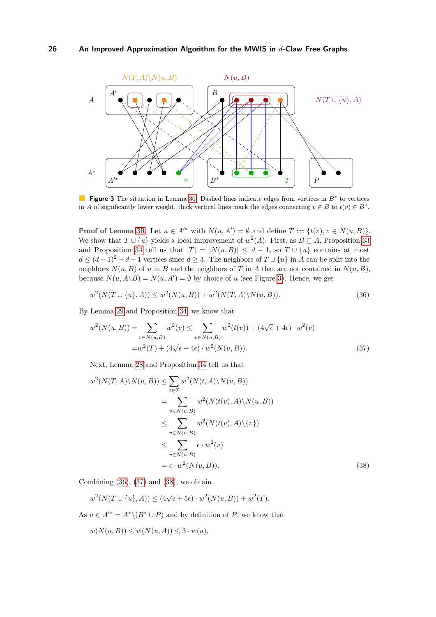<span id="page-25-0"></span>

**Figure 3** The situation in Lemma [30.](#page-11-2) Dashed lines indicate edges from vertices in *B*<sup>∗</sup> to vertices in *A* of significantly lower weight, thick vertical lines mark the edges connecting  $v \in B$  to  $t(v) \in B^*$ .

**Proof of Lemma [30.](#page-11-2)** Let  $u \in A'^*$  with  $N(u, A') = \emptyset$  and define  $T := \{t(v), v \in N(u, B)\}.$ We show that  $T \cup \{u\}$  yields a local improvement of  $w^2(A)$ . First, as  $B \subseteq A$ , Proposition [33](#page-17-0) and Proposition [34](#page-24-0) tell us that  $|T| = |N(u, B)| \le d - 1$ , so  $T \cup \{u\}$  contains at most  $d \leq (d-1)^2 + d - 1$  vertices since  $d \geq 3$ . The neighbors of  $T \cup \{u\}$  in *A* can be split into the neighbors  $N(u, B)$  of *u* in *B* and the neighbors of *T* in *A* that are not contained in  $N(u, B)$ , because  $N(u, A \backslash B) = N(u, A') = \emptyset$  by choice of *u* (see Figure [3\)](#page-25-0). Hence, we get

<span id="page-25-1"></span>
$$
w^{2}(N(T \cup \{u\}, A)) \le w^{2}(N(u, B)) + w^{2}(N(T, A) \setminus N(u, B)).
$$
\n(36)

By Lemma [29](#page-11-1) and Proposition [34,](#page-24-0) we know that

<span id="page-25-2"></span>
$$
w^{2}(N(u,B)) = \sum_{v \in N(u,B)} w^{2}(v) \le \sum_{v \in N(u,B)} w^{2}(t(v)) + (4\sqrt{\epsilon} + 4\epsilon) \cdot w^{2}(v)
$$
  
= 
$$
w^{2}(T) + (4\sqrt{\epsilon} + 4\epsilon) \cdot w^{2}(N(u,B)).
$$
 (37)

Next, Lemma [28](#page-11-0) and Proposition [34](#page-24-0) tell us that

$$
w^{2}(N(T,A)\setminus N(u,B)) \leq \sum_{t\in T} w^{2}(N(t,A)\setminus N(u,B))
$$
  
\n
$$
= \sum_{v\in N(u,B)} w^{2}(N(t(v),A)\setminus N(u,B))
$$
  
\n
$$
\leq \sum_{v\in N(u,B)} w^{2}(N(t(v),A)\setminus \{v\})
$$
  
\n
$$
\leq \sum_{v\in N(u,B)} \epsilon \cdot w^{2}(v)
$$
  
\n
$$
= \epsilon \cdot w^{2}(N(u,B)).
$$
\n(38)

Combining  $(36)$ ,  $(37)$  and  $(38)$ , we obtain

<span id="page-25-3"></span> $w^2(N(T \cup \{u\}, A)) \leq (4\sqrt{\epsilon} + 5\epsilon) \cdot w^2(N(u, B)) + w^2(T).$ 

As  $u \in A'^* = A^* \setminus (B^* \cup P)$  and by definition of *P*, we know that

$$
w(N(u, B)) \le w(N(u, A)) \le 3 \cdot w(u),
$$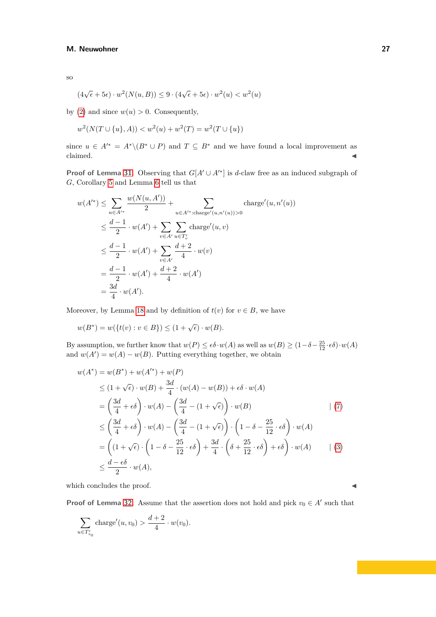so

$$
(4\sqrt{\epsilon} + 5\epsilon) \cdot w^2(N(u, B)) \le 9 \cdot (4\sqrt{\epsilon} + 5\epsilon) \cdot w^2(u) < w^2(u)
$$

by [\(2\)](#page-15-2) and since  $w(u) > 0$ . Consequently,

$$
w^{2}(N(T \cup \{u\}, A)) < w^{2}(u) + w^{2}(T) = w^{2}(T \cup \{u\})
$$

since  $u \in A'^* = A^*\setminus (B^* \cup P)$  and  $T \subseteq B^*$  and we have found a local improvement as  $\blacksquare$ claimed.  $\blacktriangleleft$ 

**Proof of Lemma [31.](#page-11-3)** Observing that  $G[A' \cup A'^*]$  is *d*-claw free as an induced subgraph of *G*, Corollary [5](#page-4-3) and Lemma [6](#page-4-2) tell us that

$$
w(A'^*) \leq \sum_{u \in A'^*} \frac{w(N(u, A'))}{2} + \sum_{u \in A'^* : \text{charge}'(u, n'(u)) > 0} \text{charge}'(u, n'(u))
$$
  

$$
\leq \frac{d-1}{2} \cdot w(A') + \sum_{v \in A'} \sum_{u \in T'_v} \text{charge}'(u, v)
$$
  

$$
\leq \frac{d-1}{2} \cdot w(A') + \sum_{v \in A'} \frac{d+2}{4} \cdot w(v)
$$
  

$$
= \frac{d-1}{2} \cdot w(A') + \frac{d+2}{4} \cdot w(A')
$$
  

$$
= \frac{3d}{4} \cdot w(A').
$$

Moreover, by Lemma [18](#page-8-0) and by definition of  $t(v)$  for  $v \in B$ , we have

$$
w(B^*) = w(\{t(v) : v \in B\}) \le (1 + \sqrt{\epsilon}) \cdot w(B).
$$

By assumption, we further know that  $w(P) \leq \epsilon \delta \cdot w(A)$  as well as  $w(B) \geq (1 - \delta - \frac{25}{12} \cdot \epsilon \delta) \cdot w(A)$ and  $w(A') = w(A) - w(B)$ . Putting everything together, we obtain

$$
w(A^*) = w(B^*) + w(A'^*) + w(P)
$$
  
\n
$$
\leq (1 + \sqrt{\epsilon}) \cdot w(B) + \frac{3d}{4} \cdot (w(A) - w(B)) + \epsilon \delta \cdot w(A)
$$
  
\n
$$
= \left(\frac{3d}{4} + \epsilon \delta\right) \cdot w(A) - \left(\frac{3d}{4} - (1 + \sqrt{\epsilon})\right) \cdot w(B)
$$
  
\n
$$
\leq \left(\frac{3d}{4} + \epsilon \delta\right) \cdot w(A) - \left(\frac{3d}{4} - (1 + \sqrt{\epsilon})\right) \cdot \left(1 - \delta - \frac{25}{12} \cdot \epsilon \delta\right) \cdot w(A)
$$
  
\n
$$
= \left((1 + \sqrt{\epsilon}) \cdot \left(1 - \delta - \frac{25}{12} \cdot \epsilon \delta\right) + \frac{3d}{4} \cdot \left(\delta + \frac{25}{12} \cdot \epsilon \delta\right) + \epsilon \delta\right) \cdot w(A) \qquad | (3)
$$
  
\n
$$
\leq \frac{d - \epsilon \delta}{2} \cdot w(A),
$$

which concludes the proof.  $\blacktriangleleft$ 

**Proof of Lemma [32.](#page-11-4)** Assume that the assertion does not hold and pick  $v_0 \in A'$  such that

$$
\sum_{u \in T'_{v_0}} \text{charge}'(u, v_0) > \frac{d+2}{4} \cdot w(v_0).
$$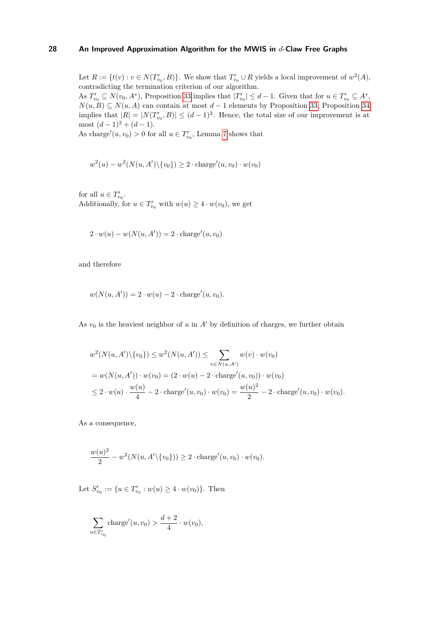Let  $R := \{t(v) : v \in N(T'_{v_0}, B)\}$ . We show that  $T'_{v_0} \cup R$  yields a local improvement of  $w^2(A)$ , contradicting the termination criterion of our algorithm.

As  $T'_{v_0} \subseteq N(v_0, A^*)$ , Proposition [33](#page-17-0) implies that  $|T'_{v_0}| \leq d-1$ . Given that for  $u \in T'_{v_0} \subseteq A^*$ ,  $N(u, B) \subseteq N(u, A)$  can contain at most  $d-1$  elements by Proposition [33,](#page-17-0) Proposition [34](#page-24-0) implies that  $|R| = |N(T'_{v_0}, B)| \leq (d-1)^2$ . Hence, the total size of our improvement is at most  $(d-1)^2 + (d-1)$ .

As charge<sup> $\ell$ </sup>(*u, v*<sub>0</sub>) > 0 for all  $u \in T'_{v_0}$ , Lemma [7](#page-5-2) shows that

$$
w^2(u) - w^2(N(u, A') \setminus \{v_0\}) \ge 2 \cdot \text{charge}'(u, v_0) \cdot w(v_0)
$$

for all  $u \in T'_{v_0}$ . Additionally, for  $u \in T'_{v_0}$  with  $w(u) \geq 4 \cdot w(v_0)$ , we get

$$
2 \cdot w(u) - w(N(u, A')) = 2 \cdot \text{charge}'(u, v_0)
$$

and therefore

$$
w(N(u, A')) = 2 \cdot w(u) - 2 \cdot \text{charge}'(u, v_0).
$$

As  $v_0$  is the heaviest neighbor of  $u$  in  $A'$  by definition of charges, we further obtain

$$
w^{2}(N(u, A') \setminus \{v_{0}\}) \leq w^{2}(N(u, A')) \leq \sum_{v \in N(u, A')} w(v) \cdot w(v_{0})
$$
  
=  $w(N(u, A')) \cdot w(v_{0}) = (2 \cdot w(u) - 2 \cdot \text{charge}'(u, v_{0})) \cdot w(v_{0})$   
 $\leq 2 \cdot w(u) \cdot \frac{w(u)}{4} - 2 \cdot \text{charge}'(u, v_{0}) \cdot w(v_{0}) = \frac{w(u)^{2}}{2} - 2 \cdot \text{charge}'(u, v_{0}) \cdot w(v_{0}).$ 

As a consequence,

$$
\frac{w(u)^2}{2} - w^2(N(u, A' \setminus \{v_0\})) \ge 2 \cdot \text{charge}'(u, v_0) \cdot w(v_0).
$$

Let  $S'_{v_0} := \{u \in T'_{v_0} : w(u) \geq 4 \cdot w(v_0)\}.$  Then

$$
\sum_{u \in T'_{v_0}} \text{charge}'(u, v_0) > \frac{d+2}{4} \cdot w(v_0),
$$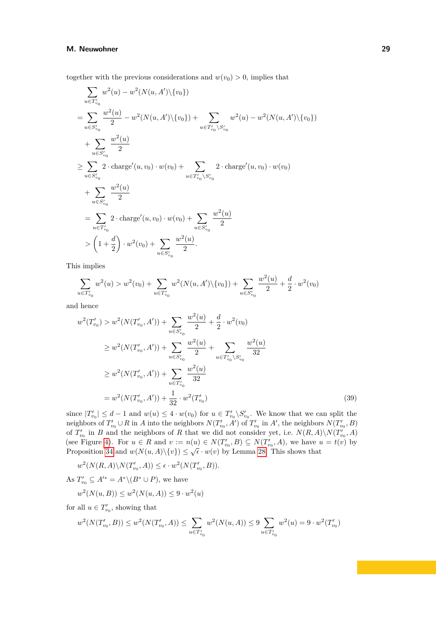together with the previous considerations and  $w(v_0) > 0$ , implies that

$$
\sum_{u \in T'_{v_0}} w^2(u) - w^2(N(u, A') \setminus \{v_0\})
$$
\n
$$
= \sum_{u \in S'_{v_0}} \frac{w^2(u)}{2} - w^2(N(u, A') \setminus \{v_0\}) + \sum_{u \in T'_{v_0} \setminus S'_{v_0}} w^2(u) - w^2(N(u, A') \setminus \{v_0\})
$$
\n
$$
+ \sum_{u \in S'_{v_0}} \frac{w^2(u)}{2}
$$
\n
$$
\geq \sum_{u \in S'_{v_0}} 2 \cdot \text{charge}'(u, v_0) \cdot w(v_0) + \sum_{u \in T'_{v_0} \setminus S'_{v_0}} 2 \cdot \text{charge}'(u, v_0) \cdot w(v_0)
$$
\n
$$
+ \sum_{u \in S'_{v_0}} \frac{w^2(u)}{2}
$$
\n
$$
= \sum_{u \in T'_{v_0}} 2 \cdot \text{charge}'(u, v_0) \cdot w(v_0) + \sum_{u \in S'_{v_0}} \frac{w^2(u)}{2}
$$
\n
$$
> \left(1 + \frac{d}{2}\right) \cdot w^2(v_0) + \sum_{u \in S'_{v_0}} \frac{w^2(u)}{2}.
$$

This implies

$$
\sum_{u \in T'_{v_0}} w^2(u) > w^2(v_0) + \sum_{u \in T'_{v_0}} w^2(N(u, A') \setminus \{v_0\}) + \sum_{u \in S'_{v_0}} \frac{w^2(u)}{2} + \frac{d}{2} \cdot w^2(v_0)
$$

and hence

<span id="page-28-0"></span>
$$
w^{2}(T'_{v_{0}}) > w^{2}(N(T'_{v_{0}}, A')) + \sum_{u \in S'_{v_{0}}} \frac{w^{2}(u)}{2} + \frac{d}{2} \cdot w^{2}(v_{0})
$$
  
\n
$$
\geq w^{2}(N(T'_{v_{0}}, A')) + \sum_{u \in S'_{v_{0}}} \frac{w^{2}(u)}{2} + \sum_{u \in T'_{v_{0}} \setminus S'_{v_{0}}} \frac{w^{2}(u)}{32}
$$
  
\n
$$
\geq w^{2}(N(T'_{v_{0}}, A')) + \sum_{u \in T'_{v_{0}}} \frac{w^{2}(u)}{32}
$$
  
\n
$$
= w^{2}(N(T'_{v_{0}}, A')) + \frac{1}{32} \cdot w^{2}(T'_{v_{0}})
$$
\n(39)

since  $|T'_{v_0}| \leq d-1$  and  $w(u) \leq 4 \cdot w(v_0)$  for  $u \in T'_{v_0} \backslash S'_{v_0}$ . We know that we can split the neighbors of  $T'_{v_0} \cup R$  in *A* into the neighbors  $N(T'_{v_0}, A')$  of  $T'_{v_0}$  in  $A'$ , the neighbors  $N(T'_{v_0}, B)$ of  $T'_{v_0}$  in *B* and the neighbors of *R* that we did not consider yet, i.e.  $N(R, A) \setminus N(T'_{v_0}, A)$ (see Figure [4\)](#page-29-0). For  $u \in R$  and  $v := n(u) \in N(T'_{v_0}, B) \subseteq N(T'_{v_0}, A)$ , we have  $u = t(v)$  by Proposition [34](#page-24-0) and  $w(N(u, A)\setminus \{v\}) \leq \sqrt{\epsilon} \cdot w(v)$  by Lemma [28.](#page-11-0) This shows that

$$
w^2(N(R, A)\backslash N(T'_{v_0}, A)) \le \epsilon \cdot w^2(N(T'_{v_0}, B)).
$$
  
As  $T'_{v_0} \subseteq A'^* = A^* \backslash (B^* \cup P)$ , we have

$$
w^{2}(N(u,B)) \leq w^{2}(N(u,A)) \leq 9 \cdot w^{2}(u)
$$

for all  $u \in T'_{v_0}$ , showing that

$$
w^2(N(T'_{v_0},B)) \leq w^2(N(T'_{v_0},A)) \leq \sum_{u \in T'_{v_0}} w^2(N(u,A)) \leq 9\sum_{u \in T'_{v_0}} w^2(u) = 9 \cdot w^2(T'_{v_0})
$$